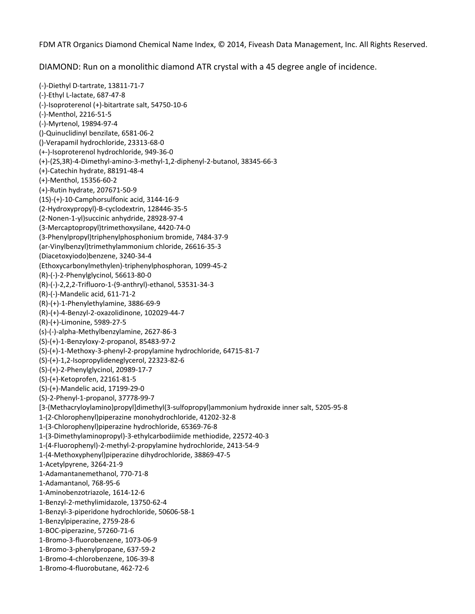FDM ATR Organics Diamond Chemical Name Index, © 2014, Fiveash Data Management, Inc. All Rights Reserved.

DIAMOND: Run on a monolithic diamond ATR crystal with a 45 degree angle of incidence.

(‐)‐Diethyl D‐tartrate, 13811‐71‐7 (‐)‐Ethyl L‐lactate, 687‐47‐8 (‐)‐Isoproterenol (+)‐bitartrate salt, 54750‐10‐6 (‐)‐Menthol, 2216‐51‐5 (‐)‐Myrtenol, 19894‐97‐4 ()‐Quinuclidinyl benzilate, 6581‐06‐2 ()‐Verapamil hydrochloride, 23313‐68‐0 (+‐)‐Isoproterenol hydrochloride, 949‐36‐0 (+)‐(2S,3R)‐4‐Dimethyl‐amino‐3‐methyl‐1,2‐diphenyl‐2‐butanol, 38345‐66‐3 (+)‐Catechin hydrate, 88191‐48‐4 (+)‐Menthol, 15356‐60‐2 (+)‐Rutin hydrate, 207671‐50‐9 (1S)‐(+)‐10‐Camphorsulfonic acid, 3144‐16‐9 (2‐Hydroxypropyl)‐B‐cyclodextrin, 128446‐35‐5 (2‐Nonen‐1‐yl)succinic anhydride, 28928‐97‐4 (3‐Mercaptopropyl)trimethoxysilane, 4420‐74‐0 (3‐Phenylpropyl)triphenylphosphonium bromide, 7484‐37‐9 (ar‐Vinylbenzyl)trimethylammonium chloride, 26616‐35‐3 (Diacetoxyiodo)benzene, 3240‐34‐4 (Ethoxycarbonylmethylen)‐triphenylphosphoran, 1099‐45‐2 (R)‐(‐)‐2‐Phenylglycinol, 56613‐80‐0 (R)‐(‐)‐2,2,2‐Trifluoro‐1‐(9‐anthryl)‐ethanol, 53531‐34‐3 (R)‐(‐)‐Mandelic acid, 611‐71‐2 (R)‐(+)‐1‐Phenylethylamine, 3886‐69‐9 (R)‐(+)‐4‐Benzyl‐2‐oxazolidinone, 102029‐44‐7 (R)‐(+)‐Limonine, 5989‐27‐5 (s)‐(‐)‐alpha‐Methylbenzylamine, 2627‐86‐3 (S)‐(+)‐1‐Benzyloxy‐2‐propanol, 85483‐97‐2 (S)‐(+)‐1‐Methoxy‐3‐phenyl‐2‐propylamine hydrochloride, 64715‐81‐7 (S)‐(+)‐1,2‐Isopropylideneglycerol, 22323‐82‐6 (S)‐(+)‐2‐Phenylglycinol, 20989‐17‐7 (S)‐(+)‐Ketoprofen, 22161‐81‐5 (S)‐(+)‐Mandelic acid, 17199‐29‐0 (S)‐2‐Phenyl‐1‐propanol, 37778‐99‐7 [3‐(Methacryloylamino)propyl]dimethyl(3‐sulfopropyl)ammonium hydroxide inner salt, 5205‐95‐8 1‐(2‐Chlorophenyl)piperazine monohydrochloride, 41202‐32‐8 1‐(3‐Chlorophenyl)piperazine hydrochloride, 65369‐76‐8 1‐(3‐Dimethylaminopropyl)‐3‐ethylcarbodiimide methiodide, 22572‐40‐3 1‐(4‐Fluorophenyl)‐2‐methyl‐2‐propylamine hydrochloride, 2413‐54‐9 1‐(4‐Methoxyphenyl)piperazine dihydrochloride, 38869‐47‐5 1‐Acetylpyrene, 3264‐21‐9 1‐Adamantanemethanol, 770‐71‐8 1‐Adamantanol, 768‐95‐6 1‐Aminobenzotriazole, 1614‐12‐6 1‐Benzyl‐2‐methylimidazole, 13750‐62‐4 1‐Benzyl‐3‐piperidone hydrochloride, 50606‐58‐1 1‐Benzylpiperazine, 2759‐28‐6 1‐BOC‐piperazine, 57260‐71‐6 1‐Bromo‐3‐fluorobenzene, 1073‐06‐9 1‐Bromo‐3‐phenylpropane, 637‐59‐2 1‐Bromo‐4‐chlorobenzene, 106‐39‐8 1‐Bromo‐4‐fluorobutane, 462‐72‐6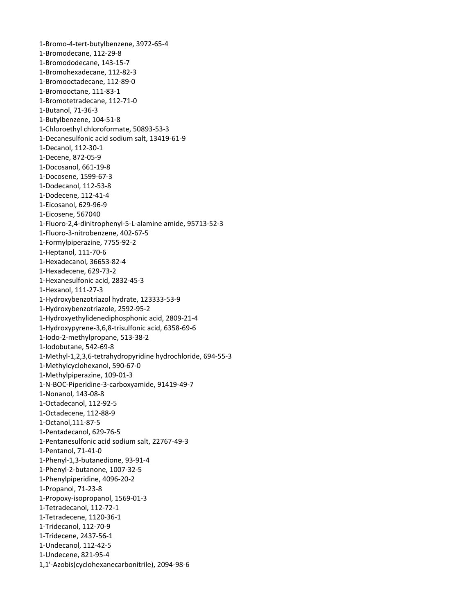‐Bromo‐4‐tert‐butylbenzene, 3972‐65‐4 ‐Bromodecane, 112‐29‐8 ‐Bromododecane, 143‐15‐7 ‐Bromohexadecane, 112‐82‐3 ‐Bromooctadecane, 112‐89‐0 ‐Bromooctane, 111‐83‐1 ‐Bromotetradecane, 112‐71‐0 ‐Butanol, 71‐36‐3 ‐Butylbenzene, 104‐51‐8 ‐Chloroethyl chloroformate, 50893‐53‐3 ‐Decanesulfonic acid sodium salt, 13419‐61‐9 ‐Decanol, 112‐30‐1 ‐Decene, 872‐05‐9 ‐Docosanol, 661‐19‐8 ‐Docosene, 1599‐67‐3 ‐Dodecanol, 112‐53‐8 ‐Dodecene, 112‐41‐4 ‐Eicosanol, 629‐96‐9 ‐Eicosene, 567040 ‐Fluoro‐2,4‐dinitrophenyl‐5‐L‐alamine amide, 95713‐52‐3 ‐Fluoro‐3‐nitrobenzene, 402‐67‐5 ‐Formylpiperazine, 7755‐92‐2 ‐Heptanol, 111‐70‐6 ‐Hexadecanol, 36653‐82‐4 ‐Hexadecene, 629‐73‐2 ‐Hexanesulfonic acid, 2832‐45‐3 ‐Hexanol, 111‐27‐3 ‐Hydroxybenzotriazol hydrate, 123333‐53‐9 ‐Hydroxybenzotriazole, 2592‐95‐2 ‐Hydroxyethylidenediphosphonic acid, 2809‐21‐4 ‐Hydroxypyrene‐3,6,8‐trisulfonic acid, 6358‐69‐6 ‐Iodo‐2‐methylpropane, 513‐38‐2 ‐Iodobutane, 542‐69‐8 ‐Methyl‐1,2,3,6‐tetrahydropyridine hydrochloride, 694‐55‐3 ‐Methylcyclohexanol, 590‐67‐0 ‐Methylpiperazine, 109‐01‐3 ‐N‐BOC‐Piperidine‐3‐carboxyamide, 91419‐49‐7 ‐Nonanol, 143‐08‐8 ‐Octadecanol, 112‐92‐5 ‐Octadecene, 112‐88‐9 ‐Octanol,111‐87‐5 ‐Pentadecanol, 629‐76‐5 ‐Pentanesulfonic acid sodium salt, 22767‐49‐3 ‐Pentanol, 71‐41‐0 ‐Phenyl‐1,3‐butanedione, 93‐91‐4 ‐Phenyl‐2‐butanone, 1007‐32‐5 ‐Phenylpiperidine, 4096‐20‐2 ‐Propanol, 71‐23‐8 ‐Propoxy‐isopropanol, 1569‐01‐3 ‐Tetradecanol, 112‐72‐1 ‐Tetradecene, 1120‐36‐1 ‐Tridecanol, 112‐70‐9 ‐Tridecene, 2437‐56‐1 ‐Undecanol, 112‐42‐5 ‐Undecene, 821‐95‐4 1,1'‐Azobis(cyclohexanecarbonitrile), 2094‐98‐6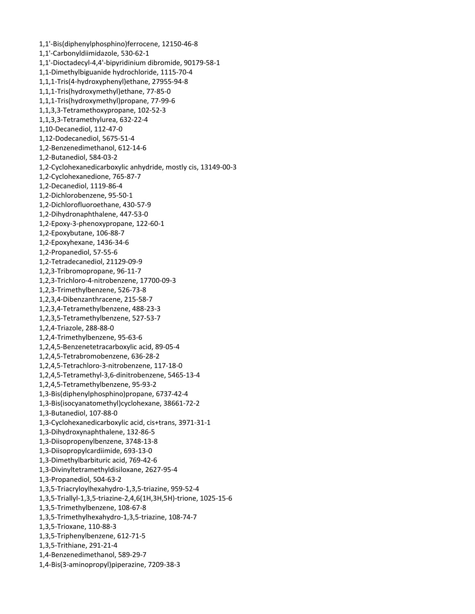1,1'‐Bis(diphenylphosphino)ferrocene, 12150‐46‐8 1,1'‐Carbonyldiimidazole, 530‐62‐1 1,1'‐Dioctadecyl‐4,4'‐bipyridinium dibromide, 90179‐58‐1 1,1‐Dimethylbiguanide hydrochloride, 1115‐70‐4 1,1,1‐Tris(4‐hydroxyphenyl)ethane, 27955‐94‐8 1,1,1‐Tris(hydroxymethyl)ethane, 77‐85‐0 1,1,1‐Tris(hydroxymethyl)propane, 77‐99‐6 1,1,3,3‐Tetramethoxypropane, 102‐52‐3 1,1,3,3‐Tetramethylurea, 632‐22‐4 1,10‐Decanediol, 112‐47‐0 1,12‐Dodecanediol, 5675‐51‐4 1,2‐Benzenedimethanol, 612‐14‐6 1,2‐Butanediol, 584‐03‐2 1,2‐Cyclohexanedicarboxylic anhydride, mostly cis, 13149‐00‐3 1,2‐Cyclohexanedione, 765‐87‐7 1,2‐Decanediol, 1119‐86‐4 1,2‐Dichlorobenzene, 95‐50‐1 1,2‐Dichlorofluoroethane, 430‐57‐9 1,2‐Dihydronaphthalene, 447‐53‐0 1,2‐Epoxy‐3‐phenoxypropane, 122‐60‐1 1,2‐Epoxybutane, 106‐88‐7 1,2‐Epoxyhexane, 1436‐34‐6 1,2‐Propanediol, 57‐55‐6 1,2‐Tetradecanediol, 21129‐09‐9 1,2,3‐Tribromopropane, 96‐11‐7 1,2,3‐Trichloro‐4‐nitrobenzene, 17700‐09‐3 1,2,3‐Trimethylbenzene, 526‐73‐8 1,2,3,4‐Dibenzanthracene, 215‐58‐7 1,2,3,4‐Tetramethylbenzene, 488‐23‐3 1,2,3,5‐Tetramethylbenzene, 527‐53‐7 1,2,4‐Triazole, 288‐88‐0 1,2,4‐Trimethylbenzene, 95‐63‐6 1,2,4,5‐Benzenetetracarboxylic acid, 89‐05‐4 1,2,4,5‐Tetrabromobenzene, 636‐28‐2 1,2,4,5‐Tetrachloro‐3‐nitrobenzene, 117‐18‐0 1,2,4,5‐Tetramethyl‐3,6‐dinitrobenzene, 5465‐13‐4 1,2,4,5‐Tetramethylbenzene, 95‐93‐2 1,3‐Bis(diphenylphosphino)propane, 6737‐42‐4 1,3‐Bis(isocyanatomethyl)cyclohexane, 38661‐72‐2 1,3‐Butanediol, 107‐88‐0 1,3‐Cyclohexanedicarboxylic acid, cis+trans, 3971‐31‐1 1,3‐Dihydroxynaphthalene, 132‐86‐5 1,3‐Diisopropenylbenzene, 3748‐13‐8 1,3‐Diisopropylcardiimide, 693‐13‐0 1,3‐Dimethylbarbituric acid, 769‐42‐6 1,3‐Divinyltetramethyldisiloxane, 2627‐95‐4 1,3‐Propanediol, 504‐63‐2 1,3,5‐Triacryloylhexahydro‐1,3,5‐triazine, 959‐52‐4 1,3,5‐Triallyl‐1,3,5‐triazine‐2,4,6(1H,3H,5H)‐trione, 1025‐15‐6 1,3,5‐Trimethylbenzene, 108‐67‐8 1,3,5‐Trimethylhexahydro‐1,3,5‐triazine, 108‐74‐7 1,3,5‐Trioxane, 110‐88‐3 1,3,5‐Triphenylbenzene, 612‐71‐5 1,3,5‐Trithiane, 291‐21‐4 1,4‐Benzenedimethanol, 589‐29‐7 1,4‐Bis(3‐aminopropyl)piperazine, 7209‐38‐3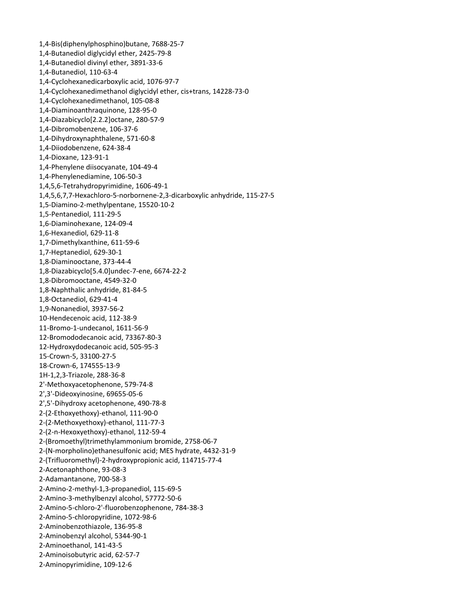1,4‐Bis(diphenylphosphino)butane, 7688‐25‐7 1,4‐Butanediol diglycidyl ether, 2425‐79‐8 1,4‐Butanediol divinyl ether, 3891‐33‐6 1,4‐Butanediol, 110‐63‐4 1,4‐Cyclohexanedicarboxylic acid, 1076‐97‐7 1,4‐Cyclohexanedimethanol diglycidyl ether, cis+trans, 14228‐73‐0 1,4‐Cyclohexanedimethanol, 105‐08‐8 1,4‐Diaminoanthraquinone, 128‐95‐0 1,4‐Diazabicyclo[2.2.2]octane, 280‐57‐9 1,4‐Dibromobenzene, 106‐37‐6 1,4‐Dihydroxynaphthalene, 571‐60‐8 1,4‐Diiodobenzene, 624‐38‐4 1,4‐Dioxane, 123‐91‐1 1,4‐Phenylene diisocyanate, 104‐49‐4 1,4‐Phenylenediamine, 106‐50‐3 1,4,5,6‐Tetrahydropyrimidine, 1606‐49‐1 1,4,5,6,7,7‐Hexachloro‐5‐norbornene‐2,3‐dicarboxylic anhydride, 115‐27‐5 1,5‐Diamino‐2‐methylpentane, 15520‐10‐2 1,5‐Pentanediol, 111‐29‐5 1,6‐Diaminohexane, 124‐09‐4 1,6‐Hexanediol, 629‐11‐8 1,7‐Dimethylxanthine, 611‐59‐6 1,7‐Heptanediol, 629‐30‐1 1,8‐Diaminooctane, 373‐44‐4 1,8‐Diazabicyclo[5.4.0]undec‐7‐ene, 6674‐22‐2 1,8‐Dibromooctane, 4549‐32‐0 1,8‐Naphthalic anhydride, 81‐84‐5 1,8‐Octanediol, 629‐41‐4 1,9‐Nonanediol, 3937‐56‐2 10‐Hendecenoic acid, 112‐38‐9 11‐Bromo‐1‐undecanol, 1611‐56‐9 12‐Bromododecanoic acid, 73367‐80‐3 12‐Hydroxydodecanoic acid, 505‐95‐3 15‐Crown‐5, 33100‐27‐5 18‐Crown‐6, 174555‐13‐9 1H‐1,2,3‐Triazole, 288‐36‐8 2'‐Methoxyacetophenone, 579‐74‐8 2',3'‐Dideoxyinosine, 69655‐05‐6 2',5'‐Dihydroxy acetophenone, 490‐78‐8 2‐(2‐Ethoxyethoxy)‐ethanol, 111‐90‐0 2‐(2‐Methoxyethoxy)‐ethanol, 111‐77‐3 2‐(2‐n‐Hexoxyethoxy)‐ethanol, 112‐59‐4 2‐(Bromoethyl)trimethylammonium bromide, 2758‐06‐7 2‐(N‐morpholino)ethanesulfonic acid; MES hydrate, 4432‐31‐9 2‐(Trifluoromethyl)‐2‐hydroxypropionic acid, 114715‐77‐4 2‐Acetonaphthone, 93‐08‐3 2‐Adamantanone, 700‐58‐3 2‐Amino‐2‐methyl‐1,3‐propanediol, 115‐69‐5 2‐Amino‐3‐methylbenzyl alcohol, 57772‐50‐6 2‐Amino‐5‐chloro‐2'‐fluorobenzophenone, 784‐38‐3 2‐Amino‐5‐chloropyridine, 1072‐98‐6 2‐Aminobenzothiazole, 136‐95‐8 2‐Aminobenzyl alcohol, 5344‐90‐1 2‐Aminoethanol, 141‐43‐5 2‐Aminoisobutyric acid, 62‐57‐7 2‐Aminopyrimidine, 109‐12‐6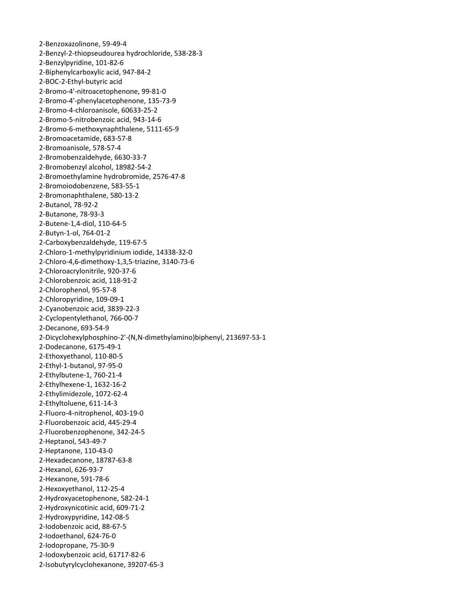‐Benzoxazolinone, 59‐49‐4 ‐Benzyl‐2‐thiopseudourea hydrochloride, 538‐28‐3 ‐Benzylpyridine, 101‐82‐6 ‐Biphenylcarboxylic acid, 947‐84‐2 ‐BOC‐2‐Ethyl‐butyric acid ‐Bromo‐4'‐nitroacetophenone, 99‐81‐0 ‐Bromo‐4'‐phenylacetophenone, 135‐73‐9 ‐Bromo‐4‐chloroanisole, 60633‐25‐2 ‐Bromo‐5‐nitrobenzoic acid, 943‐14‐6 ‐Bromo‐6‐methoxynaphthalene, 5111‐65‐9 ‐Bromoacetamide, 683‐57‐8 ‐Bromoanisole, 578‐57‐4 ‐Bromobenzaldehyde, 6630‐33‐7 ‐Bromobenzyl alcohol, 18982‐54‐2 ‐Bromoethylamine hydrobromide, 2576‐47‐8 ‐Bromoiodobenzene, 583‐55‐1 ‐Bromonaphthalene, 580‐13‐2 ‐Butanol, 78‐92‐2 ‐Butanone, 78‐93‐3 ‐Butene‐1,4‐diol, 110‐64‐5 ‐Butyn‐1‐ol, 764‐01‐2 ‐Carboxybenzaldehyde, 119‐67‐5 ‐Chloro‐1‐methylpyridinium iodide, 14338‐32‐0 ‐Chloro‐4,6‐dimethoxy‐1,3,5‐triazine, 3140‐73‐6 ‐Chloroacrylonitrile, 920‐37‐6 ‐Chlorobenzoic acid, 118‐91‐2 ‐Chlorophenol, 95‐57‐8 ‐Chloropyridine, 109‐09‐1 ‐Cyanobenzoic acid, 3839‐22‐3 ‐Cyclopentylethanol, 766‐00‐7 ‐Decanone, 693‐54‐9 ‐Dicyclohexylphosphino‐2'‐(N,N‐dimethylamino)biphenyl, 213697‐53‐1 ‐Dodecanone, 6175‐49‐1 ‐Ethoxyethanol, 110‐80‐5 ‐Ethyl‐1‐butanol, 97‐95‐0 ‐Ethylbutene‐1, 760‐21‐4 ‐Ethylhexene‐1, 1632‐16‐2 ‐Ethylimidezole, 1072‐62‐4 ‐Ethyltoluene, 611‐14‐3 ‐Fluoro‐4‐nitrophenol, 403‐19‐0 ‐Fluorobenzoic acid, 445‐29‐4 ‐Fluorobenzophenone, 342‐24‐5 ‐Heptanol, 543‐49‐7 ‐Heptanone, 110‐43‐0 ‐Hexadecanone, 18787‐63‐8 ‐Hexanol, 626‐93‐7 ‐Hexanone, 591‐78‐6 ‐Hexoxyethanol, 112‐25‐4 ‐Hydroxyacetophenone, 582‐24‐1 ‐Hydroxynicotinic acid, 609‐71‐2 ‐Hydroxypyridine, 142‐08‐5 ‐Iodobenzoic acid, 88‐67‐5 ‐Iodoethanol, 624‐76‐0 ‐Iodopropane, 75‐30‐9 ‐Iodoxybenzoic acid, 61717‐82‐6 ‐Isobutyrylcyclohexanone, 39207‐65‐3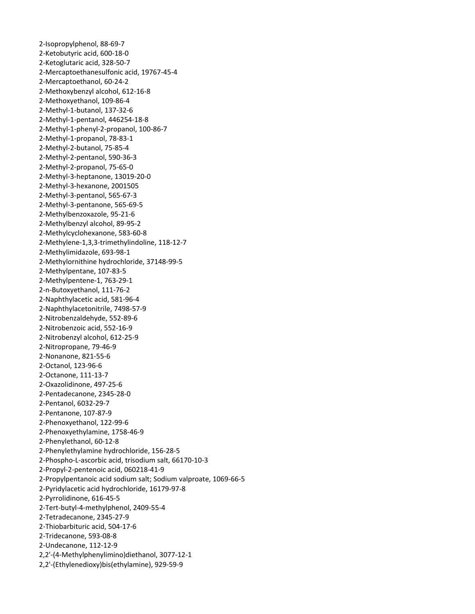‐Isopropylphenol, 88‐69‐7 ‐Ketobutyric acid, 600‐18‐0 ‐Ketoglutaric acid, 328‐50‐7 ‐Mercaptoethanesulfonic acid, 19767‐45‐4 ‐Mercaptoethanol, 60‐24‐2 ‐Methoxybenzyl alcohol, 612‐16‐8 ‐Methoxyethanol, 109‐86‐4 ‐Methyl‐1‐butanol, 137‐32‐6 ‐Methyl‐1‐pentanol, 446254‐18‐8 ‐Methyl‐1‐phenyl‐2‐propanol, 100‐86‐7 ‐Methyl‐1‐propanol, 78‐83‐1 ‐Methyl‐2‐butanol, 75‐85‐4 ‐Methyl‐2‐pentanol, 590‐36‐3 ‐Methyl‐2‐propanol, 75‐65‐0 ‐Methyl‐3‐heptanone, 13019‐20‐0 ‐Methyl‐3‐hexanone, 2001505 ‐Methyl‐3‐pentanol, 565‐67‐3 ‐Methyl‐3‐pentanone, 565‐69‐5 ‐Methylbenzoxazole, 95‐21‐6 ‐Methylbenzyl alcohol, 89‐95‐2 ‐Methylcyclohexanone, 583‐60‐8 ‐Methylene‐1,3,3‐trimethylindoline, 118‐12‐7 ‐Methylimidazole, 693‐98‐1 ‐Methylornithine hydrochloride, 37148‐99‐5 ‐Methylpentane, 107‐83‐5 ‐Methylpentene‐1, 763‐29‐1 ‐n‐Butoxyethanol, 111‐76‐2 ‐Naphthylacetic acid, 581‐96‐4 ‐Naphthylacetonitrile, 7498‐57‐9 ‐Nitrobenzaldehyde, 552‐89‐6 ‐Nitrobenzoic acid, 552‐16‐9 ‐Nitrobenzyl alcohol, 612‐25‐9 ‐Nitropropane, 79‐46‐9 ‐Nonanone, 821‐55‐6 ‐Octanol, 123‐96‐6 ‐Octanone, 111‐13‐7 ‐Oxazolidinone, 497‐25‐6 ‐Pentadecanone, 2345‐28‐0 ‐Pentanol, 6032‐29‐7 ‐Pentanone, 107‐87‐9 ‐Phenoxyethanol, 122‐99‐6 ‐Phenoxyethylamine, 1758‐46‐9 ‐Phenylethanol, 60‐12‐8 ‐Phenylethylamine hydrochloride, 156‐28‐5 ‐Phospho‐L‐ascorbic acid, trisodium salt, 66170‐10‐3 ‐Propyl‐2‐pentenoic acid, 060218‐41‐9 ‐Propylpentanoic acid sodium salt; Sodium valproate, 1069‐66‐5 ‐Pyridylacetic acid hydrochloride, 16179‐97‐8 ‐Pyrrolidinone, 616‐45‐5 ‐Tert‐butyl‐4‐methylphenol, 2409‐55‐4 ‐Tetradecanone, 2345‐27‐9 ‐Thiobarbituric acid, 504‐17‐6 ‐Tridecanone, 593‐08‐8 ‐Undecanone, 112‐12‐9 2,2'‐(4‐Methylphenylimino)diethanol, 3077‐12‐1 2,2'‐(Ethylenedioxy)bis(ethylamine), 929‐59‐9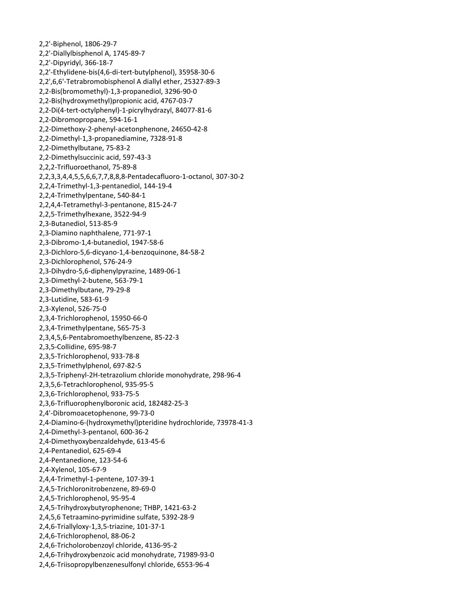2,2'‐Biphenol, 1806‐29‐7 2,2'‐Diallylbisphenol A, 1745‐89‐7 2,2'‐Dipyridyl, 366‐18‐7 2,2'‐Ethylidene‐bis(4,6‐di‐tert‐butylphenol), 35958‐30‐6 2,2',6,6'‐Tetrabromobisphenol A diallyl ether, 25327‐89‐3 2,2‐Bis(bromomethyl)‐1,3‐propanediol, 3296‐90‐0 2,2‐Bis(hydroxymethyl)propionic acid, 4767‐03‐7 2,2‐Di(4‐tert‐octylphenyl)‐1‐picrylhydrazyl, 84077‐81‐6 2,2‐Dibromopropane, 594‐16‐1 2,2‐Dimethoxy‐2‐phenyl‐acetonphenone, 24650‐42‐8 2,2‐Dimethyl‐1,3‐propanediamine, 7328‐91‐8 2,2‐Dimethylbutane, 75‐83‐2 2,2‐Dimethylsuccinic acid, 597‐43‐3 2,2,2‐Trifluoroethanol, 75‐89‐8 2,2,3,3,4,4,5,5,6,6,7,7,8,8,8‐Pentadecafluoro‐1‐octanol, 307‐30‐2 2,2,4‐Trimethyl‐1,3‐pentanediol, 144‐19‐4 2,2,4‐Trimethylpentane, 540‐84‐1 2,2,4,4‐Tetramethyl‐3‐pentanone, 815‐24‐7 2,2,5‐Trimethylhexane, 3522‐94‐9 2,3‐Butanediol, 513‐85‐9 2,3‐Diamino naphthalene, 771‐97‐1 2,3‐Dibromo‐1,4‐butanediol, 1947‐58‐6 2,3‐Dichloro‐5,6‐dicyano‐1,4‐benzoquinone, 84‐58‐2 2,3‐Dichlorophenol, 576‐24‐9 2,3‐Dihydro‐5,6‐diphenylpyrazine, 1489‐06‐1 2,3‐Dimethyl‐2‐butene, 563‐79‐1 2,3‐Dimethylbutane, 79‐29‐8 2,3‐Lutidine, 583‐61‐9 2,3‐Xylenol, 526‐75‐0 2,3,4‐Trichlorophenol, 15950‐66‐0 2,3,4‐Trimethylpentane, 565‐75‐3 2,3,4,5,6‐Pentabromoethylbenzene, 85‐22‐3 2,3,5‐Collidine, 695‐98‐7 2,3,5‐Trichlorophenol, 933‐78‐8 2,3,5‐Trimethylphenol, 697‐82‐5 2,3,5‐Triphenyl‐2H‐tetrazolium chloride monohydrate, 298‐96‐4 2,3,5,6‐Tetrachlorophenol, 935‐95‐5 2,3,6‐Trichlorophenol, 933‐75‐5 2,3,6‐Trifluorophenylboronic acid, 182482‐25‐3 2,4'‐Dibromoacetophenone, 99‐73‐0 2,4‐Diamino‐6‐(hydroxymethyl)pteridine hydrochloride, 73978‐41‐3 2,4‐Dimethyl‐3‐pentanol, 600‐36‐2 2,4‐Dimethyoxybenzaldehyde, 613‐45‐6 2,4‐Pentanediol, 625‐69‐4 2,4‐Pentanedione, 123‐54‐6 2,4‐Xylenol, 105‐67‐9 2,4,4‐Trimethyl‐1‐pentene, 107‐39‐1 2,4,5‐Trichloronitrobenzene, 89‐69‐0 2,4,5‐Trichlorophenol, 95‐95‐4 2,4,5‐Trihydroxybutyrophenone; THBP, 1421‐63‐2 2,4,5,6 Tetraamino‐pyrimidine sulfate, 5392‐28‐9 2,4,6‐Triallyloxy‐1,3,5‐triazine, 101‐37‐1 2,4,6‐Trichlorophenol, 88‐06‐2 2,4,6‐Tricholorobenzoyl chloride, 4136‐95‐2 2,4,6‐Trihydroxybenzoic acid monohydrate, 71989‐93‐0 2,4,6‐Triisopropylbenzenesulfonyl chloride, 6553‐96‐4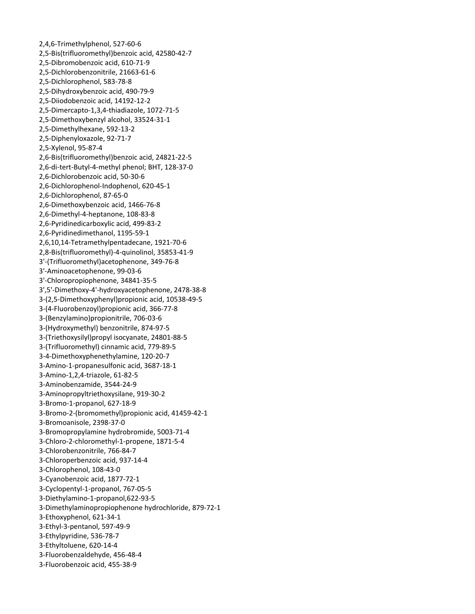2,4,6‐Trimethylphenol, 527‐60‐6 2,5‐Bis(trifluoromethyl)benzoic acid, 42580‐42‐7 2,5‐Dibromobenzoic acid, 610‐71‐9 2,5‐Dichlorobenzonitrile, 21663‐61‐6 2,5‐Dichlorophenol, 583‐78‐8 2,5‐Dihydroxybenzoic acid, 490‐79‐9 2,5‐Diiodobenzoic acid, 14192‐12‐2 2,5‐Dimercapto‐1,3,4‐thiadiazole, 1072‐71‐5 2,5‐Dimethoxybenzyl alcohol, 33524‐31‐1 2,5‐Dimethylhexane, 592‐13‐2 2,5‐Diphenyloxazole, 92‐71‐7 2,5‐Xylenol, 95‐87‐4 2,6‐Bis(trifluoromethyl)benzoic acid, 24821‐22‐5 2,6‐di‐tert‐Butyl‐4‐methyl phenol; BHT, 128‐37‐0 2,6‐Dichlorobenzoic acid, 50‐30‐6 2,6‐Dichlorophenol‐Indophenol, 620‐45‐1 2,6‐Dichlorophenol, 87‐65‐0 2,6‐Dimethoxybenzoic acid, 1466‐76‐8 2,6‐Dimethyl‐4‐heptanone, 108‐83‐8 2,6‐Pyridinedicarboxylic acid, 499‐83‐2 2,6‐Pyridinedimethanol, 1195‐59‐1 2,6,10,14‐Tetramethylpentadecane, 1921‐70‐6 2,8‐Bis(trifluoromethyl)‐4‐quinolinol, 35853‐41‐9 3'‐(Trifluoromethyl)acetophenone, 349‐76‐8 3'‐Aminoacetophenone, 99‐03‐6 3'‐Chloropropiophenone, 34841‐35‐5 3',5'‐Dimethoxy‐4'‐hydroxyacetophenone, 2478‐38‐8 3‐(2,5‐Dimethoxyphenyl)propionic acid, 10538‐49‐5 3‐(4‐Fluorobenzoyl)propionic acid, 366‐77‐8 3‐(Benzylamino)propionitrile, 706‐03‐6 3‐(Hydroxymethyl) benzonitrile, 874‐97‐5 3‐(Triethoxysilyl)propyl isocyanate, 24801‐88‐5 3‐(Trifluoromethyl) cinnamic acid, 779‐89‐5 3‐4‐Dimethoxyphenethylamine, 120‐20‐7 3‐Amino‐1‐propanesulfonic acid, 3687‐18‐1 3‐Amino‐1,2,4‐triazole, 61‐82‐5 3‐Aminobenzamide, 3544‐24‐9 3‐Aminopropyltriethoxysilane, 919‐30‐2 3‐Bromo‐1‐propanol, 627‐18‐9 3‐Bromo‐2‐(bromomethyl)propionic acid, 41459‐42‐1 3‐Bromoanisole, 2398‐37‐0 3‐Bromopropylamine hydrobromide, 5003‐71‐4 3‐Chloro‐2‐chloromethyl‐1‐propene, 1871‐5‐4 3‐Chlorobenzonitrile, 766‐84‐7 3‐Chloroperbenzoic acid, 937‐14‐4 3‐Chlorophenol, 108‐43‐0 3‐Cyanobenzoic acid, 1877‐72‐1 3‐Cyclopentyl‐1‐propanol, 767‐05‐5 3‐Diethylamino‐1‐propanol,622‐93‐5 3‐Dimethylaminopropiophenone hydrochloride, 879‐72‐1 3‐Ethoxyphenol, 621‐34‐1 3‐Ethyl‐3‐pentanol, 597‐49‐9 3‐Ethylpyridine, 536‐78‐7 3‐Ethyltoluene, 620‐14‐4 3‐Fluorobenzaldehyde, 456‐48‐4 3‐Fluorobenzoic acid, 455‐38‐9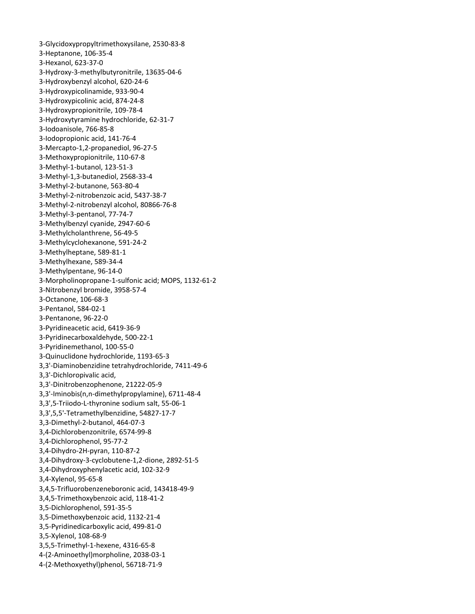‐Glycidoxypropyltrimethoxysilane, 2530‐83‐8 ‐Heptanone, 106‐35‐4 ‐Hexanol, 623‐37‐0 ‐Hydroxy‐3‐methylbutyronitrile, 13635‐04‐6 ‐Hydroxybenzyl alcohol, 620‐24‐6 ‐Hydroxypicolinamide, 933‐90‐4 ‐Hydroxypicolinic acid, 874‐24‐8 ‐Hydroxypropionitrile, 109‐78‐4 ‐Hydroxytyramine hydrochloride, 62‐31‐7 ‐Iodoanisole, 766‐85‐8 ‐Iodopropionic acid, 141‐76‐4 ‐Mercapto‐1,2‐propanediol, 96‐27‐5 ‐Methoxypropionitrile, 110‐67‐8 ‐Methyl‐1‐butanol, 123‐51‐3 ‐Methyl‐1,3‐butanediol, 2568‐33‐4 ‐Methyl‐2‐butanone, 563‐80‐4 ‐Methyl‐2‐nitrobenzoic acid, 5437‐38‐7 ‐Methyl‐2‐nitrobenzyl alcohol, 80866‐76‐8 ‐Methyl‐3‐pentanol, 77‐74‐7 ‐Methylbenzyl cyanide, 2947‐60‐6 ‐Methylcholanthrene, 56‐49‐5 ‐Methylcyclohexanone, 591‐24‐2 ‐Methylheptane, 589‐81‐1 ‐Methylhexane, 589‐34‐4 ‐Methylpentane, 96‐14‐0 ‐Morpholinopropane‐1‐sulfonic acid; MOPS, 1132‐61‐2 ‐Nitrobenzyl bromide, 3958‐57‐4 ‐Octanone, 106‐68‐3 ‐Pentanol, 584‐02‐1 ‐Pentanone, 96‐22‐0 ‐Pyridineacetic acid, 6419‐36‐9 ‐Pyridinecarboxaldehyde, 500‐22‐1 ‐Pyridinemethanol, 100‐55‐0 ‐Quinuclidone hydrochloride, 1193‐65‐3 3,3'‐Diaminobenzidine tetrahydrochloride, 7411‐49‐6 3,3'‐Dichloropivalic acid, 3,3'‐Dinitrobenzophenone, 21222‐05‐9 3,3'‐Iminobis(n,n‐dimethylpropylamine), 6711‐48‐4 3,3',5‐Triiodo‐L‐thyronine sodium salt, 55‐06‐1 3,3',5,5'‐Tetramethylbenzidine, 54827‐17‐7 3,3‐Dimethyl‐2‐butanol, 464‐07‐3 3,4‐Dichlorobenzonitrile, 6574‐99‐8 3,4‐Dichlorophenol, 95‐77‐2 3,4‐Dihydro‐2H‐pyran, 110‐87‐2 3,4‐Dihydroxy‐3‐cyclobutene‐1,2‐dione, 2892‐51‐5 3,4‐Dihydroxyphenylacetic acid, 102‐32‐9 3,4‐Xylenol, 95‐65‐8 3,4,5‐Trifluorobenzeneboronic acid, 143418‐49‐9 3,4,5‐Trimethoxybenzoic acid, 118‐41‐2 3,5‐Dichlorophenol, 591‐35‐5 3,5‐Dimethoxybenzoic acid, 1132‐21‐4 3,5‐Pyridinedicarboxylic acid, 499‐81‐0 3,5‐Xylenol, 108‐68‐9 3,5,5‐Trimethyl‐1‐hexene, 4316‐65‐8 ‐(2‐Aminoethyl)morpholine, 2038‐03‐1 ‐(2‐Methoxyethyl)phenol, 56718‐71‐9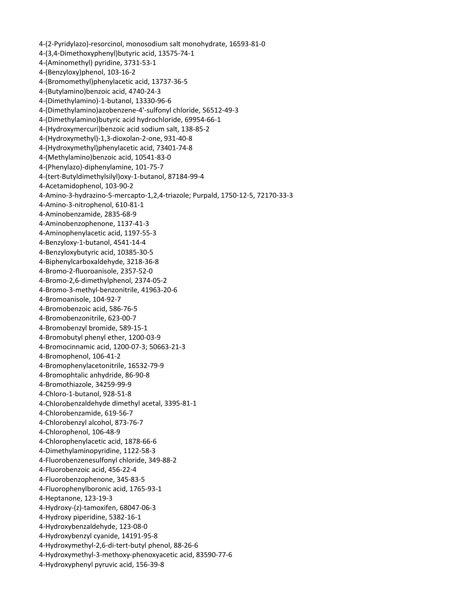‐(2‐Pyridylazo)‐resorcinol, monosodium salt monohydrate, 16593‐81‐0 ‐(3,4‐Dimethoxyphenyl)butyric acid, 13575‐74‐1 ‐(Aminomethyl) pyridine, 3731‐53‐1 ‐(Benzyloxy)phenol, 103‐16‐2 ‐(Bromomethyl)phenylacetic acid, 13737‐36‐5 ‐(Butylamino)benzoic acid, 4740‐24‐3 ‐(Dimethylamino)‐1‐butanol, 13330‐96‐6 ‐(Dimethylamino)azobenzene‐4'‐sulfonyl chloride, 56512‐49‐3 ‐(Dimethylamino)butyric acid hydrochloride, 69954‐66‐1 ‐(Hydroxymercuri)benzoic acid sodium salt, 138‐85‐2 ‐(Hydroxymethyl)‐1,3‐dioxolan‐2‐one, 931‐40‐8 ‐(Hydroxymethyl)phenylacetic acid, 73401‐74‐8 ‐(Methylamino)benzoic acid, 10541‐83‐0 ‐(Phenylazo)‐diphenylamine, 101‐75‐7 ‐(tert‐Butyldimethylsilyl)oxy‐1‐butanol, 87184‐99‐4 ‐Acetamidophenol, 103‐90‐2 ‐Amino‐3‐hydrazino‐5‐mercapto‐1,2,4‐triazole; Purpald, 1750‐12‐5, 72170‐33‐3 ‐Amino‐3‐nitrophenol, 610‐81‐1 ‐Aminobenzamide, 2835‐68‐9 ‐Aminobenzophenone, 1137‐41‐3 ‐Aminophenylacetic acid, 1197‐55‐3 ‐Benzyloxy‐1‐butanol, 4541‐14‐4 ‐Benzyloxybutyric acid, 10385‐30‐5 ‐Biphenylcarboxaldehyde, 3218‐36‐8 ‐Bromo‐2‐fluoroanisole, 2357‐52‐0 ‐Bromo‐2,6‐dimethylphenol, 2374‐05‐2 ‐Bromo‐3‐methyl‐benzonitrile, 41963‐20‐6 ‐Bromoanisole, 104‐92‐7 ‐Bromobenzoic acid, 586‐76‐5 ‐Bromobenzonitrile, 623‐00‐7 ‐Bromobenzyl bromide, 589‐15‐1 ‐Bromobutyl phenyl ether, 1200‐03‐9 ‐Bromocinnamic acid, 1200‐07‐3; 50663‐21‐3 ‐Bromophenol, 106‐41‐2 ‐Bromophenylacetonitrile, 16532‐79‐9 ‐Bromophtalic anhydride, 86‐90‐8 ‐Bromothiazole, 34259‐99‐9 ‐Chloro‐1‐butanol, 928‐51‐8 ‐Chlorobenzaldehyde dimethyl acetal, 3395‐81‐1 ‐Chlorobenzamide, 619‐56‐7 ‐Chlorobenzyl alcohol, 873‐76‐7 ‐Chlorophenol, 106‐48‐9 ‐Chlorophenylacetic acid, 1878‐66‐6 ‐Dimethylaminopyridine, 1122‐58‐3 ‐Fluorobenzenesulfonyl chloride, 349‐88‐2 ‐Fluorobenzoic acid, 456‐22‐4 ‐Fluorobenzophenone, 345‐83‐5 ‐Fluorophenylboronic acid, 1765‐93‐1 ‐Heptanone, 123‐19‐3 ‐Hydroxy‐(z)‐tamoxifen, 68047‐06‐3 ‐Hydroxy piperidine, 5382‐16‐1 ‐Hydroxybenzaldehyde, 123‐08‐0 ‐Hydroxybenzyl cyanide, 14191‐95‐8 ‐Hydroxymethyl‐2,6‐di‐tert‐butyl phenol, 88‐26‐6 ‐Hydroxymethyl‐3‐methoxy‐phenoxyacetic acid, 83590‐77‐6 ‐Hydroxyphenyl pyruvic acid, 156‐39‐8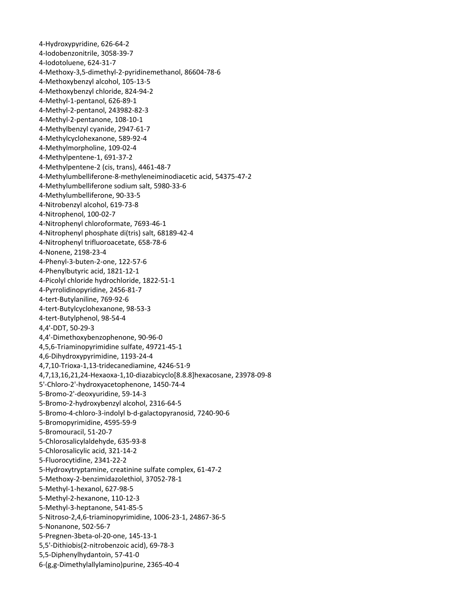‐Hydroxypyridine, 626‐64‐2 ‐Iodobenzonitrile, 3058‐39‐7 ‐Iodotoluene, 624‐31‐7 ‐Methoxy‐3,5‐dimethyl‐2‐pyridinemethanol, 86604‐78‐6 ‐Methoxybenzyl alcohol, 105‐13‐5 ‐Methoxybenzyl chloride, 824‐94‐2 ‐Methyl‐1‐pentanol, 626‐89‐1 ‐Methyl‐2‐pentanol, 243982‐82‐3 ‐Methyl‐2‐pentanone, 108‐10‐1 ‐Methylbenzyl cyanide, 2947‐61‐7 ‐Methylcyclohexanone, 589‐92‐4 ‐Methylmorpholine, 109‐02‐4 ‐Methylpentene‐1, 691‐37‐2 ‐Methylpentene‐2 (cis, trans), 4461‐48‐7 ‐Methylumbelliferone‐8‐methyleneiminodiacetic acid, 54375‐47‐2 ‐Methylumbelliferone sodium salt, 5980‐33‐6 ‐Methylumbelliferone, 90‐33‐5 ‐Nitrobenzyl alcohol, 619‐73‐8 ‐Nitrophenol, 100‐02‐7 ‐Nitrophenyl chloroformate, 7693‐46‐1 ‐Nitrophenyl phosphate di(tris) salt, 68189‐42‐4 ‐Nitrophenyl trifluoroacetate, 658‐78‐6 ‐Nonene, 2198‐23‐4 ‐Phenyl‐3‐buten‐2‐one, 122‐57‐6 ‐Phenylbutyric acid, 1821‐12‐1 ‐Picolyl chloride hydrochloride, 1822‐51‐1 ‐Pyrrolidinopyridine, 2456‐81‐7 ‐tert‐Butylaniline, 769‐92‐6 ‐tert‐Butylcyclohexanone, 98‐53‐3 ‐tert‐Butylphenol, 98‐54‐4 4,4'‐DDT, 50‐29‐3 4,4'‐Dimethoxybenzophenone, 90‐96‐0 4,5,6‐Triaminopyrimidine sulfate, 49721‐45‐1 4,6‐Dihydroxypyrimidine, 1193‐24‐4 4,7,10‐Trioxa‐1,13‐tridecanediamine, 4246‐51‐9 4,7,13,16,21,24‐Hexaoxa‐1,10‐diazabicyclo[8.8.8]hexacosane, 23978‐09‐8 5'‐Chloro‐2'‐hydroxyacetophenone, 1450‐74‐4 ‐Bromo‐2'‐deoxyuridine, 59‐14‐3 ‐Bromo‐2‐hydroxybenzyl alcohol, 2316‐64‐5 ‐Bromo‐4‐chloro‐3‐indolyl b‐d‐galactopyranosid, 7240‐90‐6 ‐Bromopyrimidine, 4595‐59‐9 ‐Bromouracil, 51‐20‐7 ‐Chlorosalicylaldehyde, 635‐93‐8 ‐Chlorosalicylic acid, 321‐14‐2 ‐Fluorocytidine, 2341‐22‐2 ‐Hydroxytryptamine, creatinine sulfate complex, 61‐47‐2 ‐Methoxy‐2‐benzimidazolethiol, 37052‐78‐1 ‐Methyl‐1‐hexanol, 627‐98‐5 ‐Methyl‐2‐hexanone, 110‐12‐3 ‐Methyl‐3‐heptanone, 541‐85‐5 ‐Nitroso‐2,4,6‐triaminopyrimidine, 1006‐23‐1, 24867‐36‐5 ‐Nonanone, 502‐56‐7 ‐Pregnen‐3beta‐ol‐20‐one, 145‐13‐1 5,5'‐Dithiobis(2‐nitrobenzoic acid), 69‐78‐3 5,5‐Diphenylhydantoin, 57‐41‐0 ‐(g,g‐Dimethylallylamino)purine, 2365‐40‐4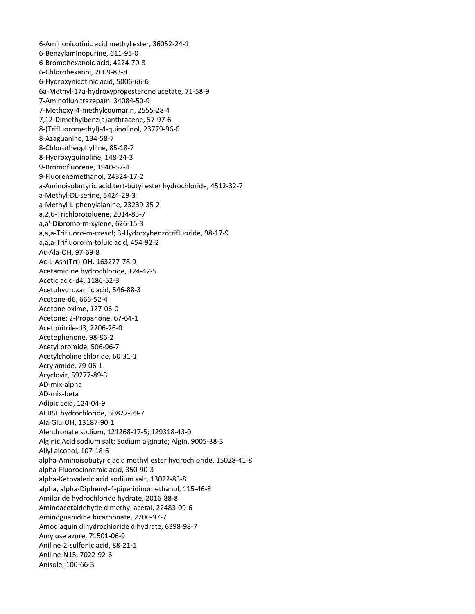6‐Aminonicotinic acid methyl ester, 36052‐24‐1 6‐Benzylaminopurine, 611‐95‐0 6‐Bromohexanoic acid, 4224‐70‐8 6‐Chlorohexanol, 2009‐83‐8 6‐Hydroxynicotinic acid, 5006‐66‐6 6a‐Methyl‐17a‐hydroxyprogesterone acetate, 71‐58‐9 7‐Aminoflunitrazepam, 34084‐50‐9 7‐Methoxy‐4‐methylcoumarin, 2555‐28‐4 7,12‐Dimethylbenz(a)anthracene, 57‐97‐6 8‐(Trifluoromethyl)‐4‐quinolinol, 23779‐96‐6 8‐Azaguanine, 134‐58‐7 8‐Chlorotheophylline, 85‐18‐7 8‐Hydroxyquinoline, 148‐24‐3 9‐Bromofluorene, 1940‐57‐4 9‐Fluorenemethanol, 24324‐17‐2 a‐Aminoisobutyric acid tert‐butyl ester hydrochloride, 4512‐32‐7 a‐Methyl‐DL‐serine, 5424‐29‐3 a‐Methyl‐L‐phenylalanine, 23239‐35‐2 a,2,6‐Trichlorotoluene, 2014‐83‐7 a,a'‐Dibromo‐m‐xylene, 626‐15‐3 a,a,a‐Trifluoro‐m‐cresol; 3‐Hydroxybenzotrifluoride, 98‐17‐9 a,a,a‐Trifluoro‐m‐toluic acid, 454‐92‐2 Ac‐Ala‐OH, 97‐69‐8 Ac‐L‐Asn(Trt)‐OH, 163277‐78‐9 Acetamidine hydrochloride, 124‐42‐5 Acetic acid‐d4, 1186‐52‐3 Acetohydroxamic acid, 546‐88‐3 Acetone‐d6, 666‐52‐4 Acetone oxime, 127‐06‐0 Acetone; 2‐Propanone, 67‐64‐1 Acetonitrile‐d3, 2206‐26‐0 Acetophenone, 98‐86‐2 Acetyl bromide, 506‐96‐7 Acetylcholine chloride, 60‐31‐1 Acrylamide, 79‐06‐1 Acyclovir, 59277‐89‐3 AD‐mix‐alpha AD‐mix‐beta Adipic acid, 124‐04‐9 AEBSF hydrochloride, 30827‐99‐7 Ala‐Glu‐OH, 13187‐90‐1 Alendronate sodium, 121268‐17‐5; 129318‐43‐0 Alginic Acid sodium salt; Sodium alginate; Algin, 9005‐38‐3 Allyl alcohol, 107‐18‐6 alpha‐Aminoisobutyric acid methyl ester hydrochloride, 15028‐41‐8 alpha‐Fluorocinnamic acid, 350‐90‐3 alpha‐Ketovaleric acid sodium salt, 13022‐83‐8 alpha, alpha‐Diphenyl‐4‐piperidinomethanol, 115‐46‐8 Amiloride hydrochloride hydrate, 2016‐88‐8 Aminoacetaldehyde dimethyl acetal, 22483‐09‐6 Aminoguanidine bicarbonate, 2200‐97‐7 Amodiaquin dihydrochloride dihydrate, 6398‐98‐7 Amylose azure, 71501‐06‐9 Aniline‐2‐sulfonic acid, 88‐21‐1 Aniline‐N15, 7022‐92‐6 Anisole, 100‐66‐3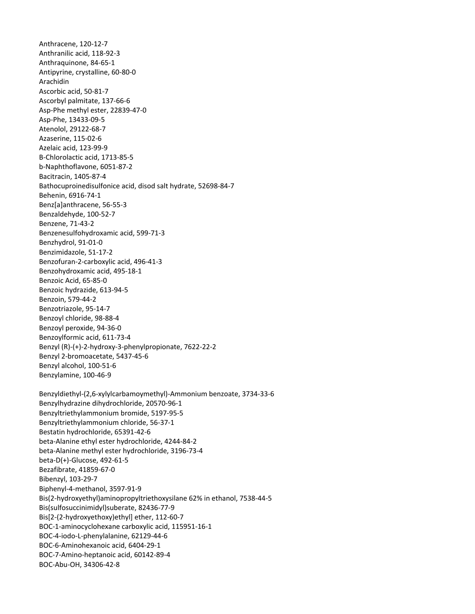Anthracene, 120‐12‐7 Anthranilic acid, 118‐92‐3 Anthraquinone, 84‐65‐1 Antipyrine, crystalline, 60‐80‐0 Arachidin Ascorbic acid, 50‐81‐7 Ascorbyl palmitate, 137‐66‐6 Asp‐Phe methyl ester, 22839‐47‐0 Asp‐Phe, 13433‐09‐5 Atenolol, 29122‐68‐7 Azaserine, 115‐02‐6 Azelaic acid, 123‐99‐9 B‐Chlorolactic acid, 1713‐85‐5 b‐Naphthoflavone, 6051‐87‐2 Bacitracin, 1405‐87‐4 Bathocuproinedisulfonice acid, disod salt hydrate, 52698‐84‐7 Behenin, 6916‐74‐1 Benz[a]anthracene, 56‐55‐3 Benzaldehyde, 100‐52‐7 Benzene, 71‐43‐2 Benzenesulfohydroxamic acid, 599‐71‐3 Benzhydrol, 91‐01‐0 Benzimidazole, 51‐17‐2 Benzofuran‐2‐carboxylic acid, 496‐41‐3 Benzohydroxamic acid, 495‐18‐1 Benzoic Acid, 65‐85‐0 Benzoic hydrazide, 613‐94‐5 Benzoin, 579‐44‐2 Benzotriazole, 95‐14‐7 Benzoyl chloride, 98‐88‐4 Benzoyl peroxide, 94‐36‐0 Benzoylformic acid, 611‐73‐4 Benzyl (R)‐(+)‐2‐hydroxy‐3‐phenylpropionate, 7622‐22‐2 Benzyl 2‐bromoacetate, 5437‐45‐6 Benzyl alcohol, 100‐51‐6 Benzylamine, 100‐46‐9 Benzyldiethyl‐(2,6‐xylylcarbamoymethyl)‐Ammonium benzoate, 3734‐33‐6 Benzylhydrazine dihydrochloride, 20570‐96‐1 Benzyltriethylammonium bromide, 5197‐95‐5 Benzyltriethylammonium chloride, 56‐37‐1 Bestatin hydrochloride, 65391‐42‐6 beta‐Alanine ethyl ester hydrochloride, 4244‐84‐2 beta‐Alanine methyl ester hydrochloride, 3196‐73‐4 beta‐D(+)‐Glucose, 492‐61‐5 Bezafibrate, 41859‐67‐0 Bibenzyl, 103‐29‐7 Biphenyl‐4‐methanol, 3597‐91‐9 Bis(2‐hydroxyethyl)aminopropyltriethoxysilane 62% in ethanol, 7538‐44‐5 Bis(sulfosuccinimidyl)suberate, 82436‐77‐9 Bis[2‐(2‐hydroxyethoxy)ethyl] ether, 112‐60‐7 BOC‐1‐aminocyclohexane carboxylic acid, 115951‐16‐1 BOC‐4‐iodo‐L‐phenylalanine, 62129‐44‐6 BOC‐6‐Aminohexanoic acid, 6404‐29‐1 BOC‐7‐Amino‐heptanoic acid, 60142‐89‐4 BOC‐Abu‐OH, 34306‐42‐8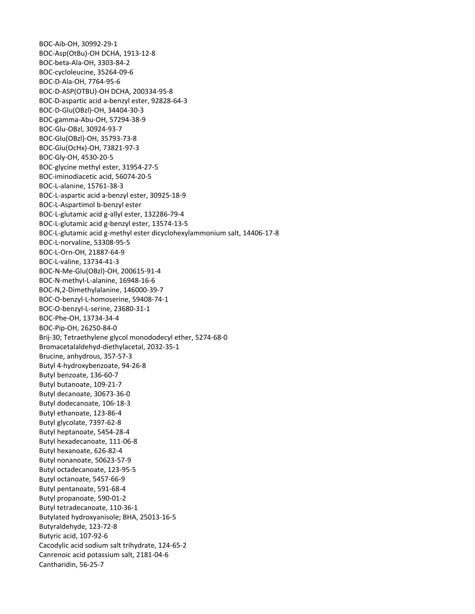BOC‐Aib‐OH, 30992‐29‐1 BOC‐Asp(OtBu)‐OH DCHA, 1913‐12‐8 BOC‐beta‐Ala‐OH, 3303‐84‐2 BOC‐cycloleucine, 35264‐09‐6 BOC‐D‐Ala‐OH, 7764‐95‐6 BOC‐D‐ASP(OTBU)‐OH DCHA, 200334‐95‐8 BOC‐D‐aspartic acid a‐benzyl ester, 92828‐64‐3 BOC‐D‐Glu(OBzl)‐OH, 34404‐30‐3 BOC‐gamma‐Abu‐OH, 57294‐38‐9 BOC‐Glu‐OBzl, 30924‐93‐7 BOC‐Glu(OBzl)‐OH, 35793‐73‐8 BOC‐Glu(OcHx)‐OH, 73821‐97‐3 BOC‐Gly‐OH, 4530‐20‐5 BOC‐glycine methyl ester, 31954‐27‐5 BOC‐iminodiacetic acid, 56074‐20‐5 BOC‐L‐alanine, 15761‐38‐3 BOC‐L‐aspartic acid a‐benzyl ester, 30925‐18‐9 BOC‐L‐Aspartimol b‐benzyl ester BOC‐L‐glutamic acid g‐allyl ester, 132286‐79‐4 BOC‐L‐glutamic acid g‐benzyl ester, 13574‐13‐5 BOC‐L‐glutamic acid g‐methyl ester dicyclohexylammonium salt, 14406‐17‐8 BOC‐L‐norvaline, 53308‐95‐5 BOC‐L‐Orn‐OH, 21887‐64‐9 BOC‐L‐valine, 13734‐41‐3 BOC‐N‐Me‐Glu(OBzl)‐OH, 200615‐91‐4 BOC‐N‐methyl‐L‐alanine, 16948‐16‐6 BOC‐N,2‐Dimethylalanine, 146000‐39‐7 BOC‐O‐benzyl‐L‐homoserine, 59408‐74‐1 BOC‐O‐benzyl‐L‐serine, 23680‐31‐1 BOC‐Phe‐OH, 13734‐34‐4 BOC‐Pip‐OH, 26250‐84‐0 Brij‐30; Tetraethylene glycol monododecyl ether, 5274‐68‐0 Bromacetalaldehyd‐diethylacetal, 2032‐35‐1 Brucine, anhydrous, 357‐57‐3 Butyl 4‐hydroxybenzoate, 94‐26‐8 Butyl benzoate, 136‐60‐7 Butyl butanoate, 109‐21‐7 Butyl decanoate, 30673‐36‐0 Butyl dodecanoate, 106‐18‐3 Butyl ethanoate, 123‐86‐4 Butyl glycolate, 7397‐62‐8 Butyl heptanoate, 5454‐28‐4 Butyl hexadecanoate, 111‐06‐8 Butyl hexanoate, 626‐82‐4 Butyl nonanoate, 50623‐57‐9 Butyl octadecanoate, 123‐95‐5 Butyl octanoate, 5457‐66‐9 Butyl pentanoate, 591‐68‐4 Butyl propanoate, 590‐01‐2 Butyl tetradecanoate, 110‐36‐1 Butylated hydroxyanisole; BHA, 25013‐16‐5 Butyraldehyde, 123‐72‐8 Butyric acid, 107‐92‐6 Cacodylic acid sodium salt trihydrate, 124‐65‐2 Canrenoic acid potassium salt, 2181‐04‐6 Cantharidin, 56‐25‐7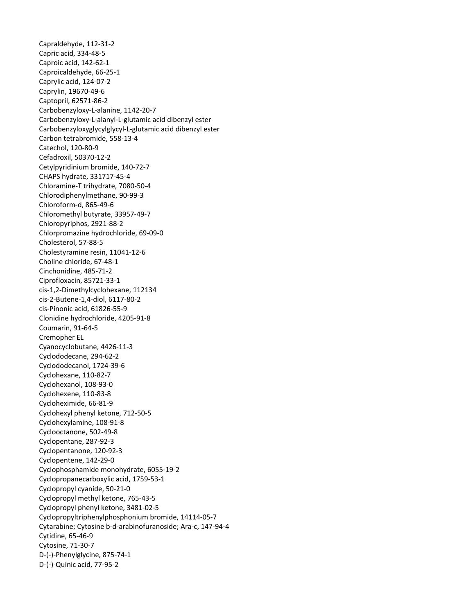Capraldehyde, 112‐31‐2 Capric acid, 334‐48‐5 Caproic acid, 142‐62‐1 Caproicaldehyde, 66‐25‐1 Caprylic acid, 124‐07‐2 Caprylin, 19670‐49‐6 Captopril, 62571‐86‐2 Carbobenzyloxy‐L‐alanine, 1142‐20‐7 Carbobenzyloxy‐L‐alanyl‐L‐glutamic acid dibenzyl ester Carbobenzyloxyglycylglycyl‐L‐glutamic acid dibenzyl ester Carbon tetrabromide, 558‐13‐4 Catechol, 120‐80‐9 Cefadroxil, 50370‐12‐2 Cetylpyridinium bromide, 140‐72‐7 CHAPS hydrate, 331717‐45‐4 Chloramine‐T trihydrate, 7080‐50‐4 Chlorodiphenylmethane, 90‐99‐3 Chloroform‐d, 865‐49‐6 Chloromethyl butyrate, 33957‐49‐7 Chloropyriphos, 2921‐88‐2 Chlorpromazine hydrochloride, 69‐09‐0 Cholesterol, 57‐88‐5 Cholestyramine resin, 11041‐12‐6 Choline chloride, 67‐48‐1 Cinchonidine, 485‐71‐2 Ciprofloxacin, 85721‐33‐1 cis‐1,2‐Dimethylcyclohexane, 112134 cis‐2‐Butene‐1,4‐diol, 6117‐80‐2 cis‐Pinonic acid, 61826‐55‐9 Clonidine hydrochloride, 4205‐91‐8 Coumarin, 91‐64‐5 Cremopher EL Cyanocyclobutane, 4426‐11‐3 Cyclododecane, 294‐62‐2 Cyclododecanol, 1724‐39‐6 Cyclohexane, 110‐82‐7 Cyclohexanol, 108‐93‐0 Cyclohexene, 110‐83‐8 Cycloheximide, 66‐81‐9 Cyclohexyl phenyl ketone, 712‐50‐5 Cyclohexylamine, 108‐91‐8 Cyclooctanone, 502‐49‐8 Cyclopentane, 287‐92‐3 Cyclopentanone, 120‐92‐3 Cyclopentene, 142‐29‐0 Cyclophosphamide monohydrate, 6055‐19‐2 Cyclopropanecarboxylic acid, 1759‐53‐1 Cyclopropyl cyanide, 50‐21‐0 Cyclopropyl methyl ketone, 765‐43‐5 Cyclopropyl phenyl ketone, 3481‐02‐5 Cyclopropyltriphenylphosphonium bromide, 14114‐05‐7 Cytarabine; Cytosine b‐d‐arabinofuranoside; Ara‐c, 147‐94‐4 Cytidine, 65‐46‐9 Cytosine, 71‐30‐7 D‐(‐)‐Phenylglycine, 875‐74‐1 D‐(‐)‐Quinic acid, 77‐95‐2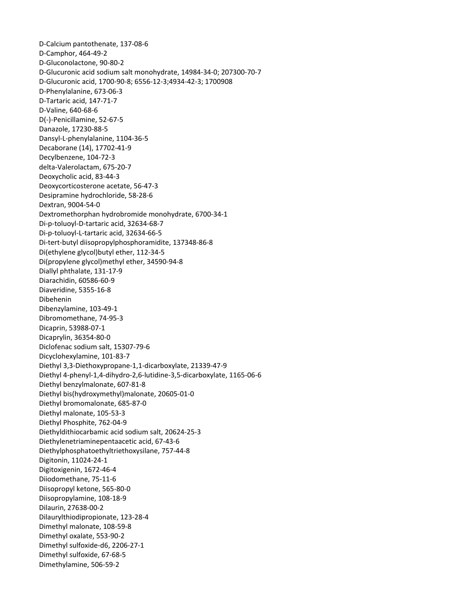D‐Calcium pantothenate, 137‐08‐6 D‐Camphor, 464‐49‐2 D‐Gluconolactone, 90‐80‐2 D‐Glucuronic acid sodium salt monohydrate, 14984‐34‐0; 207300‐70‐7 D‐Glucuronic acid, 1700‐90‐8; 6556‐12‐3;4934‐42‐3; 1700908 D‐Phenylalanine, 673‐06‐3 D‐Tartaric acid, 147‐71‐7 D‐Valine, 640‐68‐6 D(‐)‐Penicillamine, 52‐67‐5 Danazole, 17230‐88‐5 Dansyl‐L‐phenylalanine, 1104‐36‐5 Decaborane (14), 17702‐41‐9 Decylbenzene, 104‐72‐3 delta‐Valerolactam, 675‐20‐7 Deoxycholic acid, 83‐44‐3 Deoxycorticosterone acetate, 56‐47‐3 Desipramine hydrochloride, 58‐28‐6 Dextran, 9004‐54‐0 Dextromethorphan hydrobromide monohydrate, 6700‐34‐1 Di‐p‐toluoyl‐D‐tartaric acid, 32634‐68‐7 Di‐p‐toluoyl‐L‐tartaric acid, 32634‐66‐5 Di‐tert‐butyl diisopropylphosphoramidite, 137348‐86‐8 Di(ethylene glycol)butyl ether, 112‐34‐5 Di(propylene glycol)methyl ether, 34590‐94‐8 Diallyl phthalate, 131‐17‐9 Diarachidin, 60586‐60‐9 Diaveridine, 5355‐16‐8 Dibehenin Dibenzylamine, 103‐49‐1 Dibromomethane, 74‐95‐3 Dicaprin, 53988‐07‐1 Dicaprylin, 36354‐80‐0 Diclofenac sodium salt, 15307‐79‐6 Dicyclohexylamine, 101‐83‐7 Diethyl 3,3‐Diethoxypropane‐1,1‐dicarboxylate, 21339‐47‐9 Diethyl 4‐phenyl‐1,4‐dihydro‐2,6‐lutidine‐3,5‐dicarboxylate, 1165‐06‐6 Diethyl benzylmalonate, 607‐81‐8 Diethyl bis(hydroxymethyl)malonate, 20605‐01‐0 Diethyl bromomalonate, 685‐87‐0 Diethyl malonate, 105‐53‐3 Diethyl Phosphite, 762‐04‐9 Diethyldithiocarbamic acid sodium salt, 20624‐25‐3 Diethylenetriaminepentaacetic acid, 67‐43‐6 Diethylphosphatoethyltriethoxysilane, 757‐44‐8 Digitonin, 11024‐24‐1 Digitoxigenin, 1672‐46‐4 Diiodomethane, 75‐11‐6 Diisopropyl ketone, 565‐80‐0 Diisopropylamine, 108‐18‐9 Dilaurin, 27638‐00‐2 Dilaurylthiodipropionate, 123‐28‐4 Dimethyl malonate, 108‐59‐8 Dimethyl oxalate, 553‐90‐2 Dimethyl sulfoxide‐d6, 2206‐27‐1 Dimethyl sulfoxide, 67‐68‐5 Dimethylamine, 506‐59‐2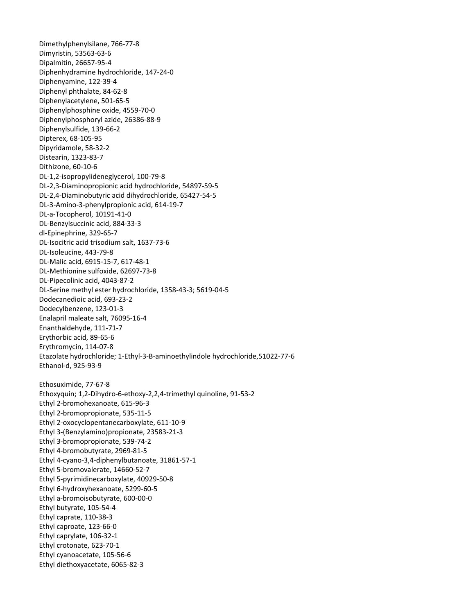Dimethylphenylsilane, 766‐77‐8 Dimyristin, 53563‐63‐6 Dipalmitin, 26657‐95‐4 Diphenhydramine hydrochloride, 147‐24‐0 Diphenyamine, 122‐39‐4 Diphenyl phthalate, 84‐62‐8 Diphenylacetylene, 501‐65‐5 Diphenylphosphine oxide, 4559‐70‐0 Diphenylphosphoryl azide, 26386‐88‐9 Diphenylsulfide, 139‐66‐2 Dipterex, 68‐105‐95 Dipyridamole, 58‐32‐2 Distearin, 1323‐83‐7 Dithizone, 60‐10‐6 DL‐1,2‐isopropylideneglycerol, 100‐79‐8 DL‐2,3‐Diaminopropionic acid hydrochloride, 54897‐59‐5 DL‐2,4‐Diaminobutyric acid dihydrochloride, 65427‐54‐5 DL‐3‐Amino‐3‐phenylpropionic acid, 614‐19‐7 DL‐a‐Tocopherol, 10191‐41‐0 DL‐Benzylsuccinic acid, 884‐33‐3 dl‐Epinephrine, 329‐65‐7 DL‐Isocitric acid trisodium salt, 1637‐73‐6 DL‐Isoleucine, 443‐79‐8 DL‐Malic acid, 6915‐15‐7, 617‐48‐1 DL‐Methionine sulfoxide, 62697‐73‐8 DL‐Pipecolinic acid, 4043‐87‐2 DL‐Serine methyl ester hydrochloride, 1358‐43‐3; 5619‐04‐5 Dodecanedioic acid, 693‐23‐2 Dodecylbenzene, 123‐01‐3 Enalapril maleate salt, 76095‐16‐4 Enanthaldehyde, 111‐71‐7 Erythorbic acid, 89‐65‐6 Erythromycin, 114‐07‐8 Etazolate hydrochloride; 1‐Ethyl‐3‐B‐aminoethylindole hydrochloride,51022‐77‐6 Ethanol‐d, 925‐93‐9 Ethosuximide, 77‐67‐8 Ethoxyquin; 1,2‐Dihydro‐6‐ethoxy‐2,2,4‐trimethyl quinoline, 91‐53‐2 Ethyl 2‐bromohexanoate, 615‐96‐3 Ethyl 2‐bromopropionate, 535‐11‐5 Ethyl 2‐oxocyclopentanecarboxylate, 611‐10‐9 Ethyl 3‐(Benzylamino)propionate, 23583‐21‐3 Ethyl 3‐bromopropionate, 539‐74‐2 Ethyl 4‐bromobutyrate, 2969‐81‐5 Ethyl 4‐cyano‐3,4‐diphenylbutanoate, 31861‐57‐1 Ethyl 5‐bromovalerate, 14660‐52‐7 Ethyl 5‐pyrimidinecarboxylate, 40929‐50‐8 Ethyl 6‐hydroxyhexanoate, 5299‐60‐5 Ethyl a‐bromoisobutyrate, 600‐00‐0 Ethyl butyrate, 105‐54‐4 Ethyl caprate, 110‐38‐3 Ethyl caproate, 123‐66‐0 Ethyl caprylate, 106‐32‐1 Ethyl crotonate, 623‐70‐1 Ethyl cyanoacetate, 105‐56‐6 Ethyl diethoxyacetate, 6065‐82‐3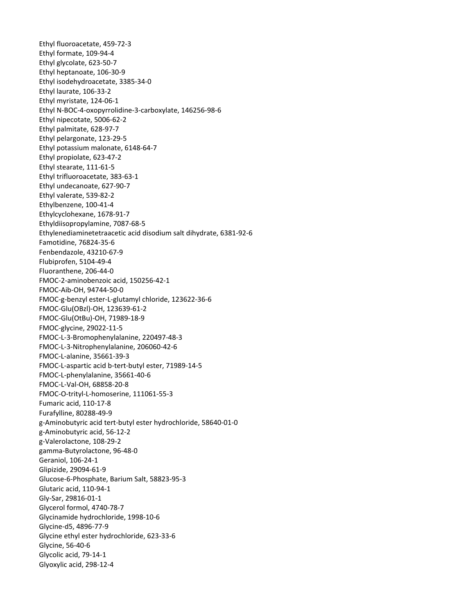Ethyl fluoroacetate, 459‐72‐3 Ethyl formate, 109‐94‐4 Ethyl glycolate, 623‐50‐7 Ethyl heptanoate, 106‐30‐9 Ethyl isodehydroacetate, 3385‐34‐0 Ethyl laurate, 106‐33‐2 Ethyl myristate, 124‐06‐1 Ethyl N‐BOC‐4‐oxopyrrolidine‐3‐carboxylate, 146256‐98‐6 Ethyl nipecotate, 5006‐62‐2 Ethyl palmitate, 628‐97‐7 Ethyl pelargonate, 123‐29‐5 Ethyl potassium malonate, 6148‐64‐7 Ethyl propiolate, 623‐47‐2 Ethyl stearate, 111‐61‐5 Ethyl trifluoroacetate, 383‐63‐1 Ethyl undecanoate, 627‐90‐7 Ethyl valerate, 539‐82‐2 Ethylbenzene, 100‐41‐4 Ethylcyclohexane, 1678‐91‐7 Ethyldiisopropylamine, 7087‐68‐5 Ethylenediaminetetraacetic acid disodium salt dihydrate, 6381‐92‐6 Famotidine, 76824‐35‐6 Fenbendazole, 43210‐67‐9 Flubiprofen, 5104‐49‐4 Fluoranthene, 206‐44‐0 FMOC‐2‐aminobenzoic acid, 150256‐42‐1 FMOC‐Aib‐OH, 94744‐50‐0 FMOC‐g‐benzyl ester‐L‐glutamyl chloride, 123622‐36‐6 FMOC‐Glu(OBzl)‐OH, 123639‐61‐2 FMOC‐Glu(OtBu)‐OH, 71989‐18‐9 FMOC‐glycine, 29022‐11‐5 FMOC‐L‐3‐Bromophenylalanine, 220497‐48‐3 FMOC‐L‐3‐Nitrophenylalanine, 206060‐42‐6 FMOC‐L‐alanine, 35661‐39‐3 FMOC‐L‐aspartic acid b‐tert‐butyl ester, 71989‐14‐5 FMOC‐L‐phenylalanine, 35661‐40‐6 FMOC‐L‐Val‐OH, 68858‐20‐8 FMOC‐O‐trityl‐L‐homoserine, 111061‐55‐3 Fumaric acid, 110‐17‐8 Furafylline, 80288‐49‐9 g‐Aminobutyric acid tert‐butyl ester hydrochloride, 58640‐01‐0 g‐Aminobutyric acid, 56‐12‐2 g‐Valerolactone, 108‐29‐2 gamma‐Butyrolactone, 96‐48‐0 Geraniol, 106‐24‐1 Glipizide, 29094‐61‐9 Glucose‐6‐Phosphate, Barium Salt, 58823‐95‐3 Glutaric acid, 110‐94‐1 Gly‐Sar, 29816‐01‐1 Glycerol formol, 4740‐78‐7 Glycinamide hydrochloride, 1998‐10‐6 Glycine‐d5, 4896‐77‐9 Glycine ethyl ester hydrochloride, 623‐33‐6 Glycine, 56‐40‐6 Glycolic acid, 79‐14‐1 Glyoxylic acid, 298‐12‐4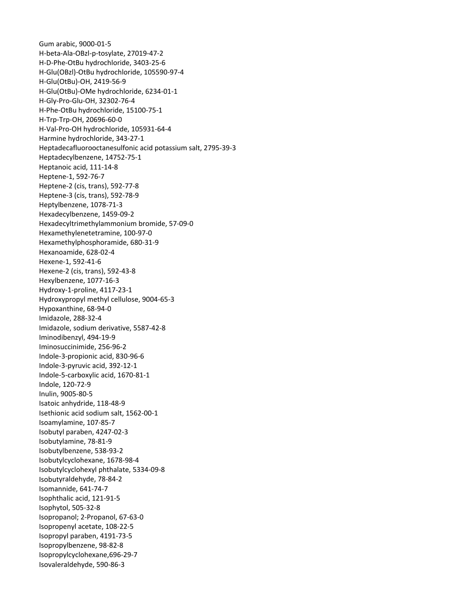Gum arabic, 9000‐01‐5 H‐beta‐Ala‐OBzl‐p‐tosylate, 27019‐47‐2 H‐D‐Phe‐OtBu hydrochloride, 3403‐25‐6 H‐Glu(OBzl)‐OtBu hydrochloride, 105590‐97‐4 H‐Glu(OtBu)‐OH, 2419‐56‐9 H‐Glu(OtBu)‐OMe hydrochloride, 6234‐01‐1 H‐Gly‐Pro‐Glu‐OH, 32302‐76‐4 H‐Phe‐OtBu hydrochloride, 15100‐75‐1 H‐Trp‐Trp‐OH, 20696‐60‐0 H‐Val‐Pro‐OH hydrochloride, 105931‐64‐4 Harmine hydrochloride, 343‐27‐1 Heptadecafluorooctanesulfonic acid potassium salt, 2795‐39‐3 Heptadecylbenzene, 14752‐75‐1 Heptanoic acid, 111‐14‐8 Heptene‐1, 592‐76‐7 Heptene‐2 (cis, trans), 592‐77‐8 Heptene‐3 (cis, trans), 592‐78‐9 Heptylbenzene, 1078‐71‐3 Hexadecylbenzene, 1459‐09‐2 Hexadecyltrimethylammonium bromide, 57‐09‐0 Hexamethylenetetramine, 100‐97‐0 Hexamethylphosphoramide, 680‐31‐9 Hexanoamide, 628‐02‐4 Hexene‐1, 592‐41‐6 Hexene‐2 (cis, trans), 592‐43‐8 Hexylbenzene, 1077‐16‐3 Hydroxy‐1‐proline, 4117‐23‐1 Hydroxypropyl methyl cellulose, 9004‐65‐3 Hypoxanthine, 68‐94‐0 Imidazole, 288‐32‐4 Imidazole, sodium derivative, 5587‐42‐8 Iminodibenzyl, 494‐19‐9 Iminosuccinimide, 256‐96‐2 Indole‐3‐propionic acid, 830‐96‐6 Indole‐3‐pyruvic acid, 392‐12‐1 Indole‐5‐carboxylic acid, 1670‐81‐1 Indole, 120‐72‐9 Inulin, 9005‐80‐5 Isatoic anhydride, 118‐48‐9 Isethionic acid sodium salt, 1562‐00‐1 Isoamylamine, 107‐85‐7 Isobutyl paraben, 4247‐02‐3 Isobutylamine, 78‐81‐9 Isobutylbenzene, 538‐93‐2 Isobutylcyclohexane, 1678‐98‐4 Isobutylcyclohexyl phthalate, 5334‐09‐8 Isobutyraldehyde, 78‐84‐2 Isomannide, 641‐74‐7 Isophthalic acid, 121‐91‐5 Isophytol, 505‐32‐8 Isopropanol; 2‐Propanol, 67‐63‐0 Isopropenyl acetate, 108‐22‐5 Isopropyl paraben, 4191‐73‐5 Isopropylbenzene, 98‐82‐8 Isopropylcyclohexane,696‐29‐7 Isovaleraldehyde, 590‐86‐3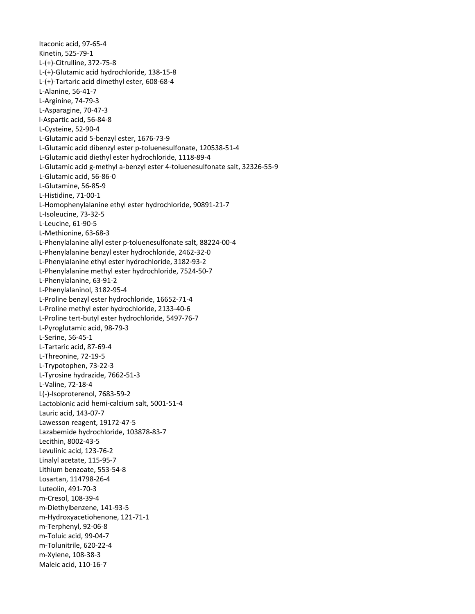Itaconic acid, 97‐65‐4 Kinetin, 525‐79‐1 L‐(+)‐Citrulline, 372‐75‐8 L‐(+)‐Glutamic acid hydrochloride, 138‐15‐8 L‐(+)‐Tartaric acid dimethyl ester, 608‐68‐4 L‐Alanine, 56‐41‐7 L‐Arginine, 74‐79‐3 L‐Asparagine, 70‐47‐3 l‐Aspartic acid, 56‐84‐8 L‐Cysteine, 52‐90‐4 L‐Glutamic acid 5‐benzyl ester, 1676‐73‐9 L‐Glutamic acid dibenzyl ester p‐toluenesulfonate, 120538‐51‐4 L‐Glutamic acid diethyl ester hydrochloride, 1118‐89‐4 L‐Glutamic acid g‐methyl a‐benzyl ester 4‐toluenesulfonate salt, 32326‐55‐9 L‐Glutamic acid, 56‐86‐0 L‐Glutamine, 56‐85‐9 L‐Histidine, 71‐00‐1 L‐Homophenylalanine ethyl ester hydrochloride, 90891‐21‐7 L‐Isoleucine, 73‐32‐5 L‐Leucine, 61‐90‐5 L‐Methionine, 63‐68‐3 L‐Phenylalanine allyl ester p‐toluenesulfonate salt, 88224‐00‐4 L‐Phenylalanine benzyl ester hydrochloride, 2462‐32‐0 L‐Phenylalanine ethyl ester hydrochloride, 3182‐93‐2 L‐Phenylalanine methyl ester hydrochloride, 7524‐50‐7 L‐Phenylalanine, 63‐91‐2 L‐Phenylalaninol, 3182‐95‐4 L‐Proline benzyl ester hydrochloride, 16652‐71‐4 L‐Proline methyl ester hydrochloride, 2133‐40‐6 L‐Proline tert‐butyl ester hydrochloride, 5497‐76‐7 L‐Pyroglutamic acid, 98‐79‐3 L‐Serine, 56‐45‐1 L‐Tartaric acid, 87‐69‐4 L‐Threonine, 72‐19‐5 L‐Trypotophen, 73‐22‐3 L‐Tyrosine hydrazide, 7662‐51‐3 L‐Valine, 72‐18‐4 L(‐)‐Isoproterenol, 7683‐59‐2 Lactobionic acid hemi‐calcium salt, 5001‐51‐4 Lauric acid, 143‐07‐7 Lawesson reagent, 19172‐47‐5 Lazabemide hydrochloride, 103878‐83‐7 Lecithin, 8002‐43‐5 Levulinic acid, 123‐76‐2 Linalyl acetate, 115‐95‐7 Lithium benzoate, 553‐54‐8 Losartan, 114798‐26‐4 Luteolin, 491‐70‐3 m‐Cresol, 108‐39‐4 m‐Diethylbenzene, 141‐93‐5 m‐Hydroxyacetiohenone, 121‐71‐1 m‐Terphenyl, 92‐06‐8 m‐Toluic acid, 99‐04‐7 m‐Tolunitrile, 620‐22‐4 m‐Xylene, 108‐38‐3 Maleic acid, 110‐16‐7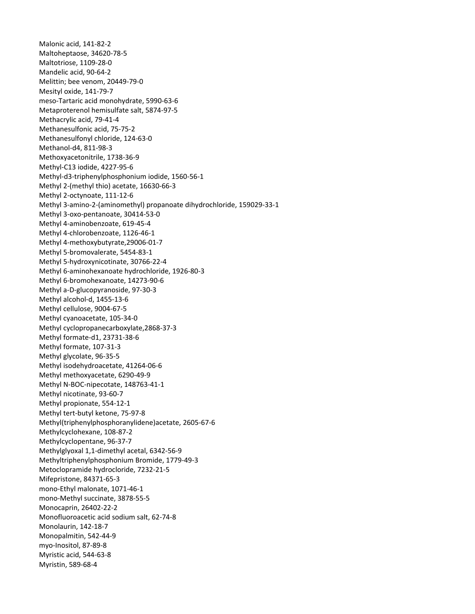Malonic acid, 141‐82‐2 Maltoheptaose, 34620‐78‐5 Maltotriose, 1109‐28‐0 Mandelic acid, 90‐64‐2 Melittin; bee venom, 20449‐79‐0 Mesityl oxide, 141‐79‐7 meso‐Tartaric acid monohydrate, 5990‐63‐6 Metaproterenol hemisulfate salt, 5874‐97‐5 Methacrylic acid, 79‐41‐4 Methanesulfonic acid, 75‐75‐2 Methanesulfonyl chloride, 124‐63‐0 Methanol‐d4, 811‐98‐3 Methoxyacetonitrile, 1738‐36‐9 Methyl‐C13 iodide, 4227‐95‐6 Methyl‐d3‐triphenylphosphonium iodide, 1560‐56‐1 Methyl 2‐(methyl thio) acetate, 16630‐66‐3 Methyl 2‐octynoate, 111‐12‐6 Methyl 3‐amino‐2‐(aminomethyl) propanoate dihydrochloride, 159029‐33‐1 Methyl 3‐oxo‐pentanoate, 30414‐53‐0 Methyl 4‐aminobenzoate, 619‐45‐4 Methyl 4‐chlorobenzoate, 1126‐46‐1 Methyl 4‐methoxybutyrate,29006‐01‐7 Methyl 5‐bromovalerate, 5454‐83‐1 Methyl 5‐hydroxynicotinate, 30766‐22‐4 Methyl 6‐aminohexanoate hydrochloride, 1926‐80‐3 Methyl 6‐bromohexanoate, 14273‐90‐6 Methyl a‐D‐glucopyranoside, 97‐30‐3 Methyl alcohol‐d, 1455‐13‐6 Methyl cellulose, 9004‐67‐5 Methyl cyanoacetate, 105‐34‐0 Methyl cyclopropanecarboxylate,2868‐37‐3 Methyl formate‐d1, 23731‐38‐6 Methyl formate, 107‐31‐3 Methyl glycolate, 96‐35‐5 Methyl isodehydroacetate, 41264‐06‐6 Methyl methoxyacetate, 6290‐49‐9 Methyl N‐BOC‐nipecotate, 148763‐41‐1 Methyl nicotinate, 93‐60‐7 Methyl propionate, 554‐12‐1 Methyl tert‐butyl ketone, 75‐97‐8 Methyl(triphenylphosphoranylidene)acetate, 2605‐67‐6 Methylcyclohexane, 108‐87‐2 Methylcyclopentane, 96‐37‐7 Methylglyoxal 1,1‐dimethyl acetal, 6342‐56‐9 Methyltriphenylphosphonium Bromide, 1779‐49‐3 Metoclopramide hydrocloride, 7232‐21‐5 Mifepristone, 84371‐65‐3 mono‐Ethyl malonate, 1071‐46‐1 mono‐Methyl succinate, 3878‐55‐5 Monocaprin, 26402‐22‐2 Monofluoroacetic acid sodium salt, 62‐74‐8 Monolaurin, 142‐18‐7 Monopalmitin, 542‐44‐9 myo‐Inositol, 87‐89‐8 Myristic acid, 544‐63‐8 Myristin, 589‐68‐4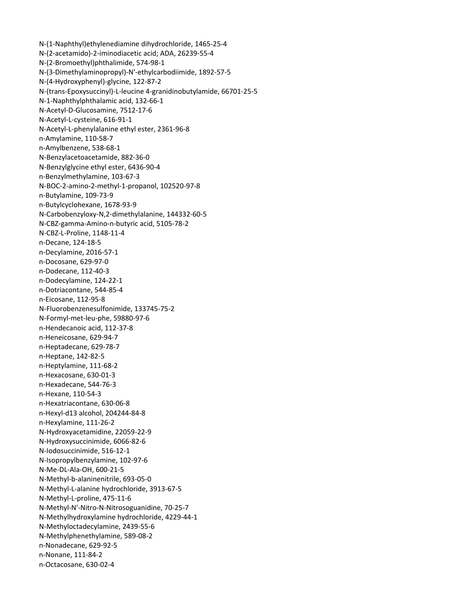N‐(1‐Naphthyl)ethylenediamine dihydrochloride, 1465‐25‐4 N‐(2‐acetamido)‐2‐iminodiacetic acid; ADA, 26239‐55‐4 N‐(2‐Bromoethyl)phthalimide, 574‐98‐1 N‐(3‐Dimethylaminopropyl)‐N'‐ethylcarbodiimide, 1892‐57‐5 N‐(4‐Hydroxyphenyl)‐glycine, 122‐87‐2 N‐(trans‐Epoxysuccinyl)‐L‐leucine 4‐granidinobutylamide, 66701‐25‐5 N‐1‐Naphthylphthalamic acid, 132‐66‐1 N‐Acetyl‐D‐Glucosamine, 7512‐17‐6 N‐Acetyl‐L‐cysteine, 616‐91‐1 N‐Acetyl‐L‐phenylalanine ethyl ester, 2361‐96‐8 n‐Amylamine, 110‐58‐7 n‐Amylbenzene, 538‐68‐1 N‐Benzylacetoacetamide, 882‐36‐0 N‐Benzylglycine ethyl ester, 6436‐90‐4 n‐Benzylmethylamine, 103‐67‐3 N‐BOC‐2‐amino‐2‐methyl‐1‐propanol, 102520‐97‐8 n‐Butylamine, 109‐73‐9 n‐Butylcyclohexane, 1678‐93‐9 N‐Carbobenzyloxy‐N,2‐dimethylalanine, 144332‐60‐5 N‐CBZ‐gamma‐Amino‐n‐butyric acid, 5105‐78‐2 N‐CBZ‐L‐Proline, 1148‐11‐4 n‐Decane, 124‐18‐5 n‐Decylamine, 2016‐57‐1 n‐Docosane, 629‐97‐0 n‐Dodecane, 112‐40‐3 n‐Dodecylamine, 124‐22‐1 n‐Dotriacontane, 544‐85‐4 n‐Eicosane, 112‐95‐8 N‐Fluorobenzenesulfonimide, 133745‐75‐2 N‐Formyl‐met‐leu‐phe, 59880‐97‐6 n‐Hendecanoic acid, 112‐37‐8 n‐Heneicosane, 629‐94‐7 n‐Heptadecane, 629‐78‐7 n‐Heptane, 142‐82‐5 n‐Heptylamine, 111‐68‐2 n‐Hexacosane, 630‐01‐3 n‐Hexadecane, 544‐76‐3 n‐Hexane, 110‐54‐3 n‐Hexatriacontane, 630‐06‐8 n‐Hexyl‐d13 alcohol, 204244‐84‐8 n‐Hexylamine, 111‐26‐2 N‐Hydroxyacetamidine, 22059‐22‐9 N‐Hydroxysuccinimide, 6066‐82‐6 N‐Iodosuccinimide, 516‐12‐1 N‐Isopropylbenzylamine, 102‐97‐6 N‐Me‐DL‐Ala‐OH, 600‐21‐5 N‐Methyl‐b‐alaninenitrile, 693‐05‐0 N‐Methyl‐L‐alanine hydrochloride, 3913‐67‐5 N‐Methyl‐L‐proline, 475‐11‐6 N‐Methyl‐N'‐Nitro‐N‐Nitrosoguanidine, 70‐25‐7 N‐Methylhydroxylamine hydrochloride, 4229‐44‐1 N‐Methyloctadecylamine, 2439‐55‐6 N‐Methylphenethylamine, 589‐08‐2 n‐Nonadecane, 629‐92‐5 n‐Nonane, 111‐84‐2 n‐Octacosane, 630‐02‐4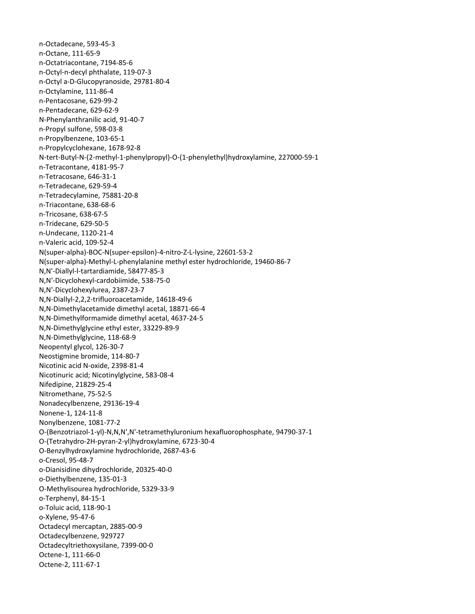n‐Octadecane, 593‐45‐3 n‐Octane, 111‐65‐9 n‐Octatriacontane, 7194‐85‐6 n‐Octyl‐n‐decyl phthalate, 119‐07‐3 n‐Octyl a‐D‐Glucopyranoside, 29781‐80‐4 n‐Octylamine, 111‐86‐4 n‐Pentacosane, 629‐99‐2 n‐Pentadecane, 629‐62‐9 N‐Phenylanthranilic acid, 91‐40‐7 n‐Propyl sulfone, 598‐03‐8 n‐Propylbenzene, 103‐65‐1 n‐Propylcyclohexane, 1678‐92‐8 N‐tert‐Butyl‐N‐(2‐methyl‐1‐phenylpropyl)‐O‐(1‐phenylethyl)hydroxylamine, 227000‐59‐1 n‐Tetracontane, 4181‐95‐7 n‐Tetracosane, 646‐31‐1 n‐Tetradecane, 629‐59‐4 n‐Tetradecylamine, 75881‐20‐8 n‐Triacontane, 638‐68‐6 n‐Tricosane, 638‐67‐5 n‐Tridecane, 629‐50‐5 n‐Undecane, 1120‐21‐4 n‐Valeric acid, 109‐52‐4 N(super‐alpha)‐BOC‐N(super‐epsilon)‐4‐nitro‐Z‐L‐lysine, 22601‐53‐2 N(super‐alpha)‐Methyl‐L‐phenylalanine methyl ester hydrochloride, 19460‐86‐7 N,N'‐Diallyl‐l‐tartardiamide, 58477‐85‐3 N,N'‐Dicyclohexyl‐cardobiimide, 538‐75‐0 N,N'‐Dicyclohexylurea, 2387‐23‐7 N,N‐Diallyl‐2,2,2‐trifluoroacetamide, 14618‐49‐6 N,N‐Dimethylacetamide dimethyl acetal, 18871‐66‐4 N,N‐Dimethylformamide dimethyl acetal, 4637‐24‐5 N,N‐Dimethylglycine ethyl ester, 33229‐89‐9 N,N‐Dimethylglycine, 118‐68‐9 Neopentyl glycol, 126‐30‐7 Neostigmine bromide, 114‐80‐7 Nicotinic acid N‐oxide, 2398‐81‐4 Nicotinuric acid; Nicotinylglycine, 583‐08‐4 Nifedipine, 21829‐25‐4 Nitromethane, 75‐52‐5 Nonadecylbenzene, 29136‐19‐4 Nonene‐1, 124‐11‐8 Nonylbenzene, 1081‐77‐2 O‐(Benzotriazol‐1‐yl)‐N,N,N',N'‐tetramethyluronium hexafluorophosphate, 94790‐37‐1 O‐(Tetrahydro‐2H‐pyran‐2‐yl)hydroxylamine, 6723‐30‐4 O‐Benzylhydroxylamine hydrochloride, 2687‐43‐6 o‐Cresol, 95‐48‐7 o‐Dianisidine dihydrochloride, 20325‐40‐0 o‐Diethylbenzene, 135‐01‐3 O‐Methylisourea hydrochloride, 5329‐33‐9 o‐Terphenyl, 84‐15‐1 o‐Toluic acid, 118‐90‐1 o‐Xylene, 95‐47‐6 Octadecyl mercaptan, 2885‐00‐9 Octadecylbenzene, 929727 Octadecyltriethoxysilane, 7399‐00‐0 Octene‐1, 111‐66‐0 Octene‐2, 111‐67‐1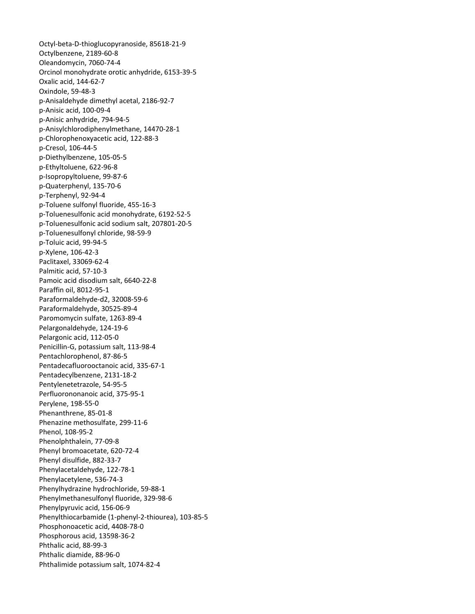Octyl‐beta‐D‐thioglucopyranoside, 85618‐21‐9 Octylbenzene, 2189‐60‐8 Oleandomycin, 7060‐74‐4 Orcinol monohydrate orotic anhydride, 6153‐39‐5 Oxalic acid, 144‐62‐7 Oxindole, 59‐48‐3 p‐Anisaldehyde dimethyl acetal, 2186‐92‐7 p‐Anisic acid, 100‐09‐4 p‐Anisic anhydride, 794‐94‐5 p‐Anisylchlorodiphenylmethane, 14470‐28‐1 p‐Chlorophenoxyacetic acid, 122‐88‐3 p‐Cresol, 106‐44‐5 p‐Diethylbenzene, 105‐05‐5 p‐Ethyltoluene, 622‐96‐8 p‐Isopropyltoluene, 99‐87‐6 p‐Quaterphenyl, 135‐70‐6 p‐Terphenyl, 92‐94‐4 p‐Toluene sulfonyl fluoride, 455‐16‐3 p‐Toluenesulfonic acid monohydrate, 6192‐52‐5 p‐Toluenesulfonic acid sodium salt, 207801‐20‐5 p‐Toluenesulfonyl chloride, 98‐59‐9 p‐Toluic acid, 99‐94‐5 p‐Xylene, 106‐42‐3 Paclitaxel, 33069‐62‐4 Palmitic acid, 57‐10‐3 Pamoic acid disodium salt, 6640‐22‐8 Paraffin oil, 8012‐95‐1 Paraformaldehyde‐d2, 32008‐59‐6 Paraformaldehyde, 30525‐89‐4 Paromomycin sulfate, 1263‐89‐4 Pelargonaldehyde, 124‐19‐6 Pelargonic acid, 112‐05‐0 Penicillin‐G, potassium salt, 113‐98‐4 Pentachlorophenol, 87‐86‐5 Pentadecafluorooctanoic acid, 335‐67‐1 Pentadecylbenzene, 2131‐18‐2 Pentylenetetrazole, 54‐95‐5 Perfluorononanoic acid, 375‐95‐1 Perylene, 198‐55‐0 Phenanthrene, 85‐01‐8 Phenazine methosulfate, 299‐11‐6 Phenol, 108‐95‐2 Phenolphthalein, 77‐09‐8 Phenyl bromoacetate, 620‐72‐4 Phenyl disulfide, 882‐33‐7 Phenylacetaldehyde, 122‐78‐1 Phenylacetylene, 536‐74‐3 Phenylhydrazine hydrochloride, 59‐88‐1 Phenylmethanesulfonyl fluoride, 329‐98‐6 Phenylpyruvic acid, 156‐06‐9 Phenylthiocarbamide (1‐phenyl‐2‐thiourea), 103‐85‐5 Phosphonoacetic acid, 4408‐78‐0 Phosphorous acid, 13598‐36‐2 Phthalic acid, 88‐99‐3 Phthalic diamide, 88‐96‐0 Phthalimide potassium salt, 1074‐82‐4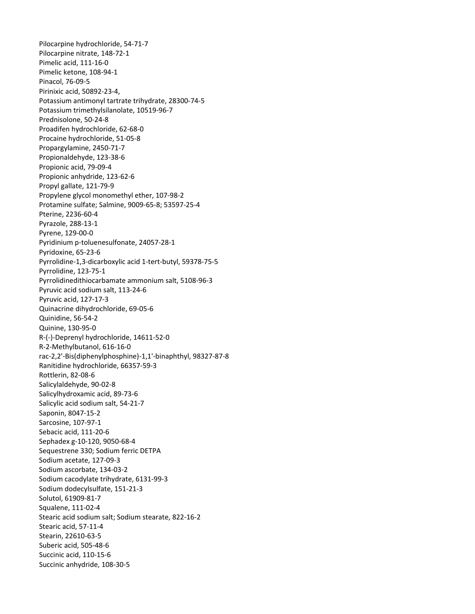Pilocarpine hydrochloride, 54‐71‐7 Pilocarpine nitrate, 148‐72‐1 Pimelic acid, 111‐16‐0 Pimelic ketone, 108‐94‐1 Pinacol, 76‐09‐5 Pirinixic acid, 50892‐23‐4, Potassium antimonyl tartrate trihydrate, 28300‐74‐5 Potassium trimethylsilanolate, 10519‐96‐7 Prednisolone, 50‐24‐8 Proadifen hydrochloride, 62‐68‐0 Procaine hydrochloride, 51‐05‐8 Propargylamine, 2450‐71‐7 Propionaldehyde, 123‐38‐6 Propionic acid, 79‐09‐4 Propionic anhydride, 123‐62‐6 Propyl gallate, 121‐79‐9 Propylene glycol monomethyl ether, 107‐98‐2 Protamine sulfate; Salmine, 9009‐65‐8; 53597‐25‐4 Pterine, 2236‐60‐4 Pyrazole, 288‐13‐1 Pyrene, 129‐00‐0 Pyridinium p‐toluenesulfonate, 24057‐28‐1 Pyridoxine, 65‐23‐6 Pyrrolidine‐1,3‐dicarboxylic acid 1‐tert‐butyl, 59378‐75‐5 Pyrrolidine, 123‐75‐1 Pyrrolidinedithiocarbamate ammonium salt, 5108‐96‐3 Pyruvic acid sodium salt, 113‐24‐6 Pyruvic acid, 127‐17‐3 Quinacrine dihydrochloride, 69‐05‐6 Quinidine, 56‐54‐2 Quinine, 130‐95‐0 R‐(‐)‐Deprenyl hydrochloride, 14611‐52‐0 R‐2‐Methylbutanol, 616‐16‐0 rac‐2,2'‐Bis(diphenylphosphine)‐1,1'‐binaphthyl, 98327‐87‐8 Ranitidine hydrochloride, 66357‐59‐3 Rottlerin, 82‐08‐6 Salicylaldehyde, 90‐02‐8 Salicylhydroxamic acid, 89‐73‐6 Salicylic acid sodium salt, 54‐21‐7 Saponin, 8047‐15‐2 Sarcosine, 107‐97‐1 Sebacic acid, 111‐20‐6 Sephadex g‐10‐120, 9050‐68‐4 Sequestrene 330; Sodium ferric DETPA Sodium acetate, 127‐09‐3 Sodium ascorbate, 134‐03‐2 Sodium cacodylate trihydrate, 6131‐99‐3 Sodium dodecylsulfate, 151‐21‐3 Solutol, 61909‐81‐7 Squalene, 111‐02‐4 Stearic acid sodium salt; Sodium stearate, 822‐16‐2 Stearic acid, 57‐11‐4 Stearin, 22610‐63‐5 Suberic acid, 505‐48‐6 Succinic acid, 110‐15‐6 Succinic anhydride, 108‐30‐5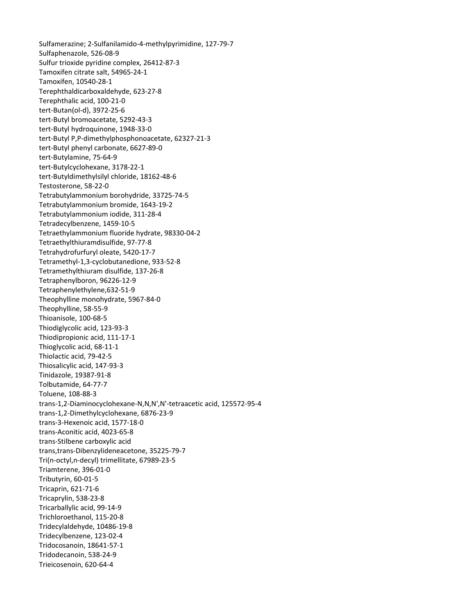Sulfamerazine; 2‐Sulfanilamido‐4‐methylpyrimidine, 127‐79‐7 Sulfaphenazole, 526‐08‐9 Sulfur trioxide pyridine complex, 26412‐87‐3 Tamoxifen citrate salt, 54965‐24‐1 Tamoxifen, 10540‐28‐1 Terephthaldicarboxaldehyde, 623‐27‐8 Terephthalic acid, 100‐21‐0 tert‐Butan(ol‐d), 3972‐25‐6 tert‐Butyl bromoacetate, 5292‐43‐3 tert‐Butyl hydroquinone, 1948‐33‐0 tert‐Butyl P,P‐dimethylphosphonoacetate, 62327‐21‐3 tert‐Butyl phenyl carbonate, 6627‐89‐0 tert‐Butylamine, 75‐64‐9 tert‐Butylcyclohexane, 3178‐22‐1 tert‐Butyldimethylsilyl chloride, 18162‐48‐6 Testosterone, 58‐22‐0 Tetrabutylammonium borohydride, 33725‐74‐5 Tetrabutylammonium bromide, 1643‐19‐2 Tetrabutylammonium iodide, 311‐28‐4 Tetradecylbenzene, 1459‐10‐5 Tetraethylammonium fluoride hydrate, 98330‐04‐2 Tetraethylthiuramdisulfide, 97‐77‐8 Tetrahydrofurfuryl oleate, 5420‐17‐7 Tetramethyl‐1,3‐cyclobutanedione, 933‐52‐8 Tetramethylthiuram disulfide, 137‐26‐8 Tetraphenylboron, 96226‐12‐9 Tetraphenylethylene,632‐51‐9 Theophylline monohydrate, 5967‐84‐0 Theophylline, 58‐55‐9 Thioanisole, 100‐68‐5 Thiodiglycolic acid, 123‐93‐3 Thiodipropionic acid, 111‐17‐1 Thioglycolic acid, 68‐11‐1 Thiolactic acid, 79‐42‐5 Thiosalicylic acid, 147‐93‐3 Tinidazole, 19387‐91‐8 Tolbutamide, 64‐77‐7 Toluene, 108‐88‐3 trans‐1,2‐Diaminocyclohexane‐N,N,N',N'‐tetraacetic acid, 125572‐95‐4 trans‐1,2‐Dimethylcyclohexane, 6876‐23‐9 trans‐3‐Hexenoic acid, 1577‐18‐0 trans‐Aconitic acid, 4023‐65‐8 trans‐Stilbene carboxylic acid trans,trans‐Dibenzylideneacetone, 35225‐79‐7 Tri(n‐octyl,n‐decyl) trimellitate, 67989‐23‐5 Triamterene, 396‐01‐0 Tributyrin, 60‐01‐5 Tricaprin, 621‐71‐6 Tricaprylin, 538‐23‐8 Tricarballylic acid, 99‐14‐9 Trichloroethanol, 115‐20‐8 Tridecylaldehyde, 10486‐19‐8 Tridecylbenzene, 123‐02‐4 Tridocosanoin, 18641‐57‐1 Tridodecanoin, 538‐24‐9 Trieicosenoin, 620‐64‐4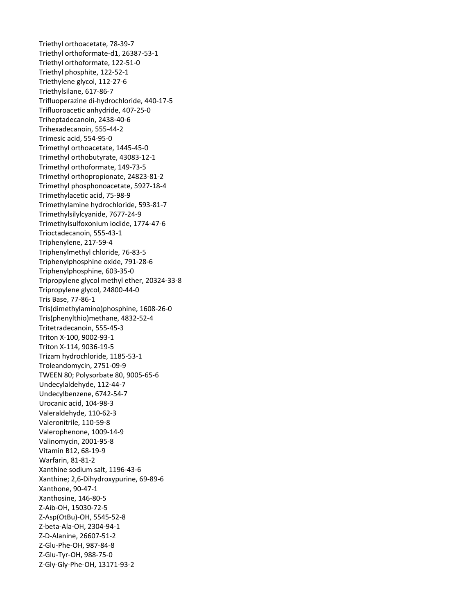Triethyl orthoacetate, 78‐39‐7 Triethyl orthoformate‐d1, 26387‐53‐1 Triethyl orthoformate, 122‐51‐0 Triethyl phosphite, 122‐52‐1 Triethylene glycol, 112‐27‐6 Triethylsilane, 617‐86‐7 Trifluoperazine di‐hydrochloride, 440‐17‐5 Trifluoroacetic anhydride, 407‐25‐0 Triheptadecanoin, 2438‐40‐6 Trihexadecanoin, 555‐44‐2 Trimesic acid, 554‐95‐0 Trimethyl orthoacetate, 1445‐45‐0 Trimethyl orthobutyrate, 43083‐12‐1 Trimethyl orthoformate, 149‐73‐5 Trimethyl orthopropionate, 24823‐81‐2 Trimethyl phosphonoacetate, 5927‐18‐4 Trimethylacetic acid, 75‐98‐9 Trimethylamine hydrochloride, 593‐81‐7 Trimethylsilylcyanide, 7677‐24‐9 Trimethylsulfoxonium iodide, 1774‐47‐6 Trioctadecanoin, 555‐43‐1 Triphenylene, 217‐59‐4 Triphenylmethyl chloride, 76‐83‐5 Triphenylphosphine oxide, 791‐28‐6 Triphenylphosphine, 603‐35‐0 Tripropylene glycol methyl ether, 20324‐33‐8 Tripropylene glycol, 24800‐44‐0 Tris Base, 77‐86‐1 Tris(dimethylamino)phosphine, 1608‐26‐0 Tris(phenylthio)methane, 4832‐52‐4 Tritetradecanoin, 555‐45‐3 Triton X‐100, 9002‐93‐1 Triton X‐114, 9036‐19‐5 Trizam hydrochloride, 1185‐53‐1 Troleandomycin, 2751‐09‐9 TWEEN 80; Polysorbate 80, 9005‐65‐6 Undecylaldehyde, 112‐44‐7 Undecylbenzene, 6742‐54‐7 Urocanic acid, 104‐98‐3 Valeraldehyde, 110‐62‐3 Valeronitrile, 110‐59‐8 Valerophenone, 1009‐14‐9 Valinomycin, 2001‐95‐8 Vitamin B12, 68‐19‐9 Warfarin, 81‐81‐2 Xanthine sodium salt, 1196‐43‐6 Xanthine; 2,6‐Dihydroxypurine, 69‐89‐6 Xanthone, 90‐47‐1 Xanthosine, 146‐80‐5 Z‐Aib‐OH, 15030‐72‐5 Z‐Asp(OtBu)‐OH, 5545‐52‐8 Z‐beta‐Ala‐OH, 2304‐94‐1 Z‐D‐Alanine, 26607‐51‐2 Z‐Glu‐Phe‐OH, 987‐84‐8 Z‐Glu‐Tyr‐OH, 988‐75‐0 Z‐Gly‐Gly‐Phe‐OH, 13171‐93‐2